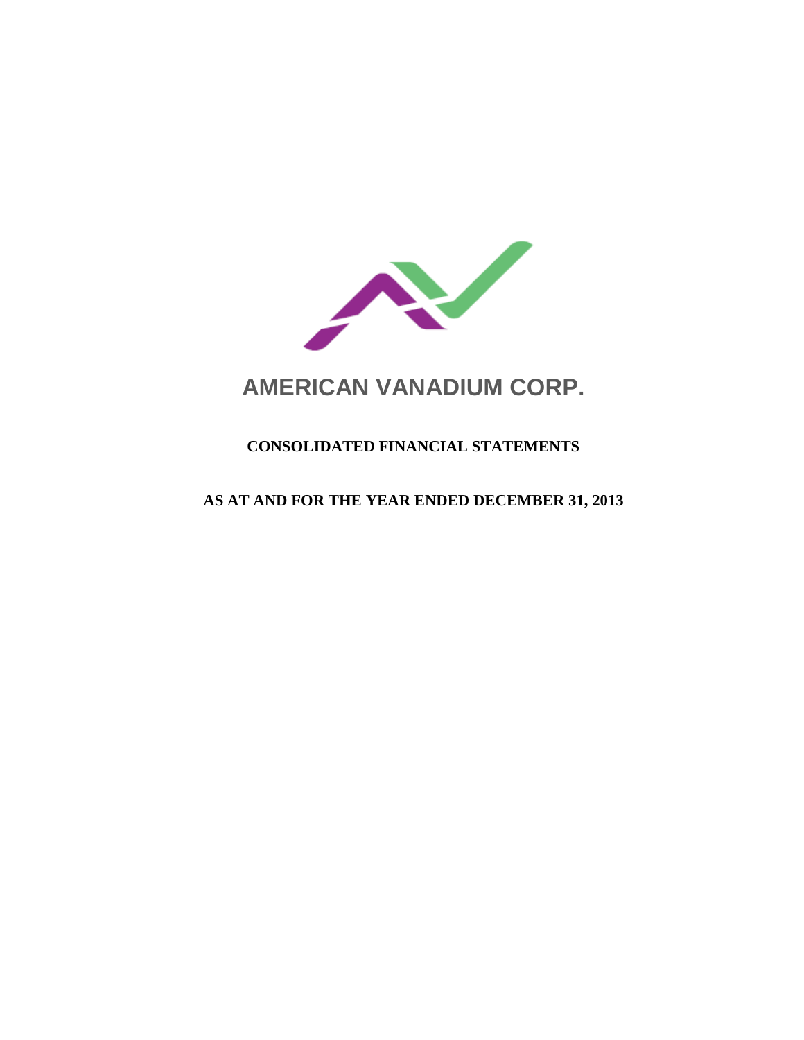

# **AMERICAN VANADIUM CORP.**

# **CONSOLIDATED FINANCIAL STATEMENTS**

# **AS AT AND FOR THE YEAR ENDED DECEMBER 31, 2013**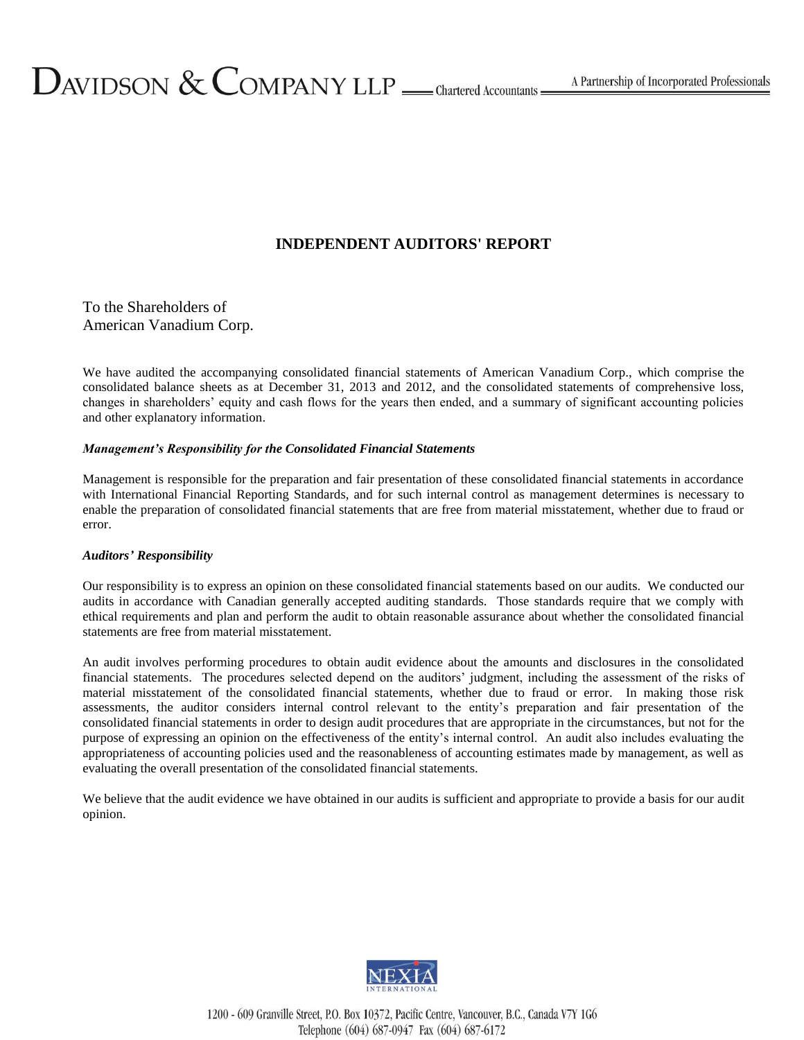# **INDEPENDENT AUDITORS' REPORT**

To the Shareholders of American Vanadium Corp.

We have audited the accompanying consolidated financial statements of American Vanadium Corp., which comprise the consolidated balance sheets as at December 31, 2013 and 2012, and the consolidated statements of comprehensive loss, changes in shareholders' equity and cash flows for the years then ended, and a summary of significant accounting policies and other explanatory information.

# *Management's Responsibility for the Consolidated Financial Statements*

Management is responsible for the preparation and fair presentation of these consolidated financial statements in accordance with International Financial Reporting Standards, and for such internal control as management determines is necessary to enable the preparation of consolidated financial statements that are free from material misstatement, whether due to fraud or error.

# *Auditors' Responsibility*

Our responsibility is to express an opinion on these consolidated financial statements based on our audits. We conducted our audits in accordance with Canadian generally accepted auditing standards. Those standards require that we comply with ethical requirements and plan and perform the audit to obtain reasonable assurance about whether the consolidated financial statements are free from material misstatement.

An audit involves performing procedures to obtain audit evidence about the amounts and disclosures in the consolidated financial statements. The procedures selected depend on the auditors' judgment, including the assessment of the risks of material misstatement of the consolidated financial statements, whether due to fraud or error. In making those risk assessments, the auditor considers internal control relevant to the entity's preparation and fair presentation of the consolidated financial statements in order to design audit procedures that are appropriate in the circumstances, but not for the purpose of expressing an opinion on the effectiveness of the entity's internal control. An audit also includes evaluating the appropriateness of accounting policies used and the reasonableness of accounting estimates made by management, as well as evaluating the overall presentation of the consolidated financial statements.

We believe that the audit evidence we have obtained in our audits is sufficient and appropriate to provide a basis for our audit opinion.



1200 - 609 Granville Street, P.O. Box 10372, Pacific Centre, Vancouver, B.C., Canada V7Y 1G6 Telephone (604) 687-0947 Fax (604) 687-6172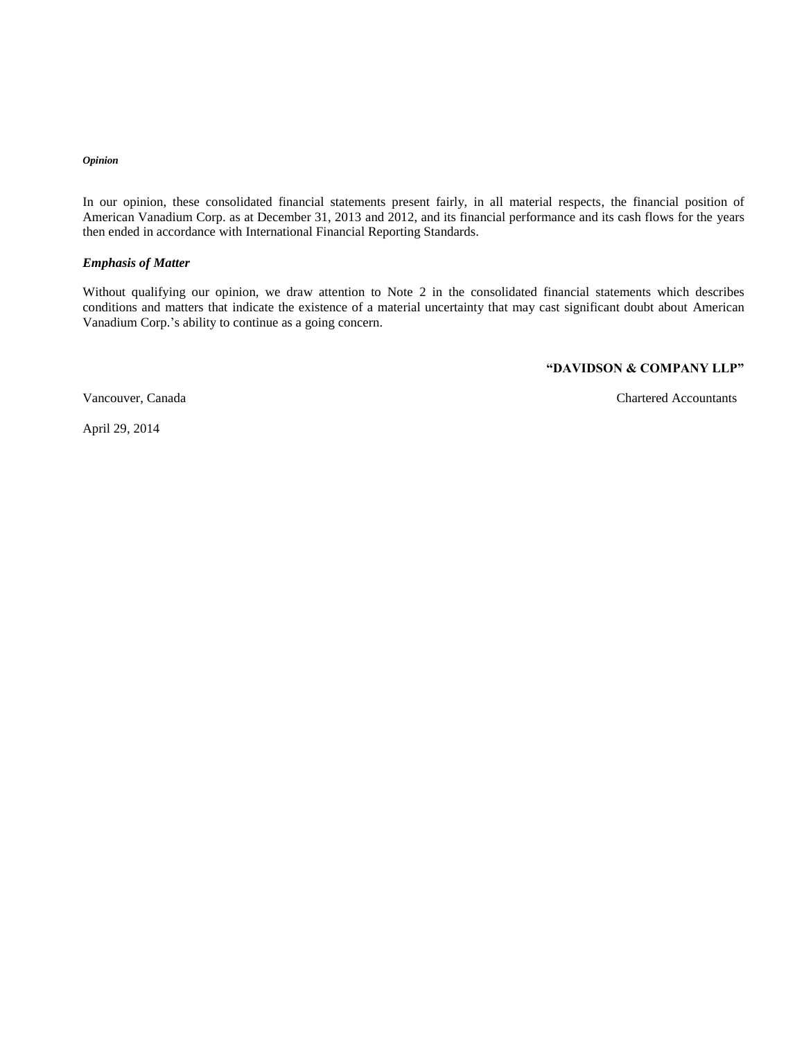### *Opinion*

In our opinion, these consolidated financial statements present fairly, in all material respects, the financial position of American Vanadium Corp. as at December 31, 2013 and 2012, and its financial performance and its cash flows for the years then ended in accordance with International Financial Reporting Standards.

#### *Emphasis of Matter*

Without qualifying our opinion, we draw attention to Note 2 in the consolidated financial statements which describes conditions and matters that indicate the existence of a material uncertainty that may cast significant doubt about American Vanadium Corp.'s ability to continue as a going concern.

# **"DAVIDSON & COMPANY LLP"**

Vancouver, Canada Chartered Accountants

April 29, 2014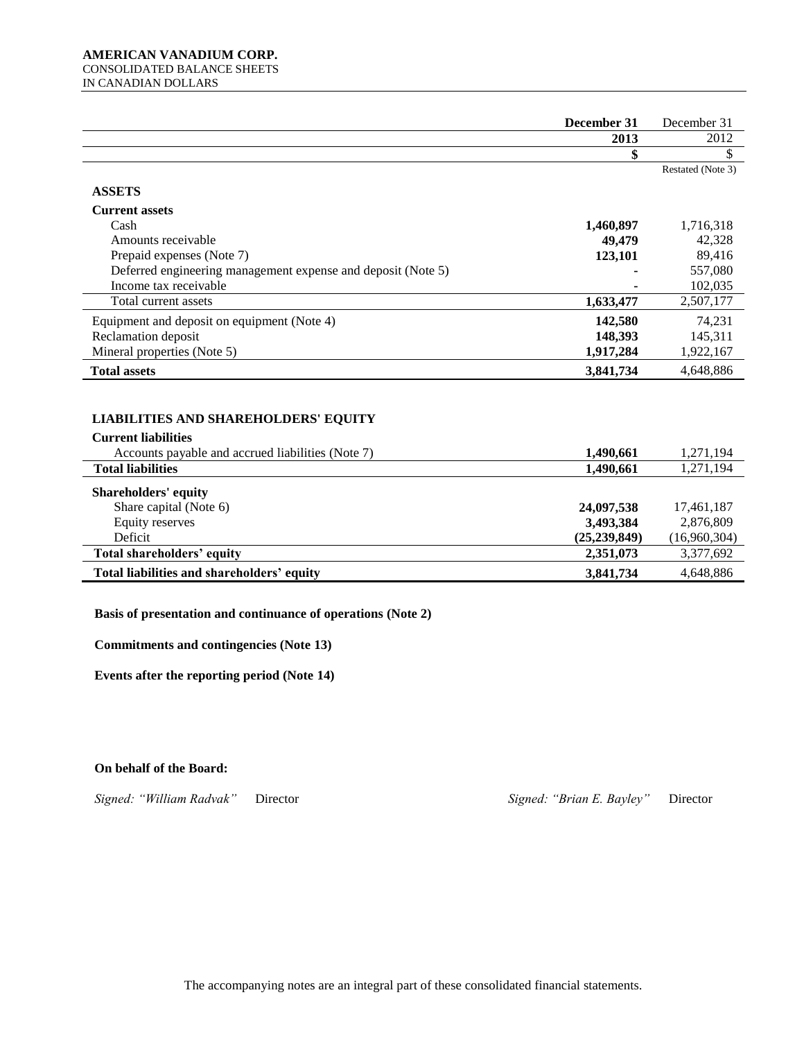#### **AMERICAN VANADIUM CORP.**  CONSOLIDATED BALANCE SHEETS IN CANADIAN DOLLARS

|                                                              | December 31    | December 31       |
|--------------------------------------------------------------|----------------|-------------------|
|                                                              | 2013           | 2012              |
|                                                              |                |                   |
|                                                              |                | Restated (Note 3) |
| <b>ASSETS</b>                                                |                |                   |
| <b>Current assets</b>                                        |                |                   |
| Cash                                                         | 1,460,897      | 1,716,318         |
| Amounts receivable                                           | 49,479         | 42,328            |
| Prepaid expenses (Note 7)                                    | 123,101        | 89,416            |
| Deferred engineering management expense and deposit (Note 5) | ٠              | 557,080           |
| Income tax receivable                                        |                | 102,035           |
| Total current assets                                         | 1,633,477      | 2,507,177         |
| Equipment and deposit on equipment (Note 4)                  | 142,580        | 74,231            |
| Reclamation deposit                                          | 148,393        | 145,311           |
| Mineral properties (Note 5)                                  | 1,917,284      | 1,922,167         |
| <b>Total assets</b>                                          | 3,841,734      | 4,648,886         |
|                                                              |                |                   |
|                                                              |                |                   |
| <b>LIABILITIES AND SHAREHOLDERS' EQUITY</b>                  |                |                   |
| <b>Current liabilities</b>                                   |                |                   |
| Accounts payable and accrued liabilities (Note 7)            | 1,490,661      | 1,271,194         |
| <b>Total liabilities</b>                                     | 1,490,661      | 1,271,194         |
|                                                              |                |                   |
| <b>Shareholders' equity</b>                                  |                |                   |
| Share capital (Note 6)                                       | 24,097,538     | 17,461,187        |
| Equity reserves                                              | 3,493,384      | 2,876,809         |
| Deficit                                                      | (25, 239, 849) | (16,960,304)      |
| Total shareholders' equity                                   | 2,351,073      | 3,377,692         |
| Total liabilities and shareholders' equity                   | 3,841,734      | 4,648,886         |

**Basis of presentation and continuance of operations (Note 2)**

**Commitments and contingencies (Note 13)**

**Events after the reporting period (Note 14)**

**On behalf of the Board:**

*Signed: "William Radvak"* Director *Signed: "Brian E. Bayley"* Director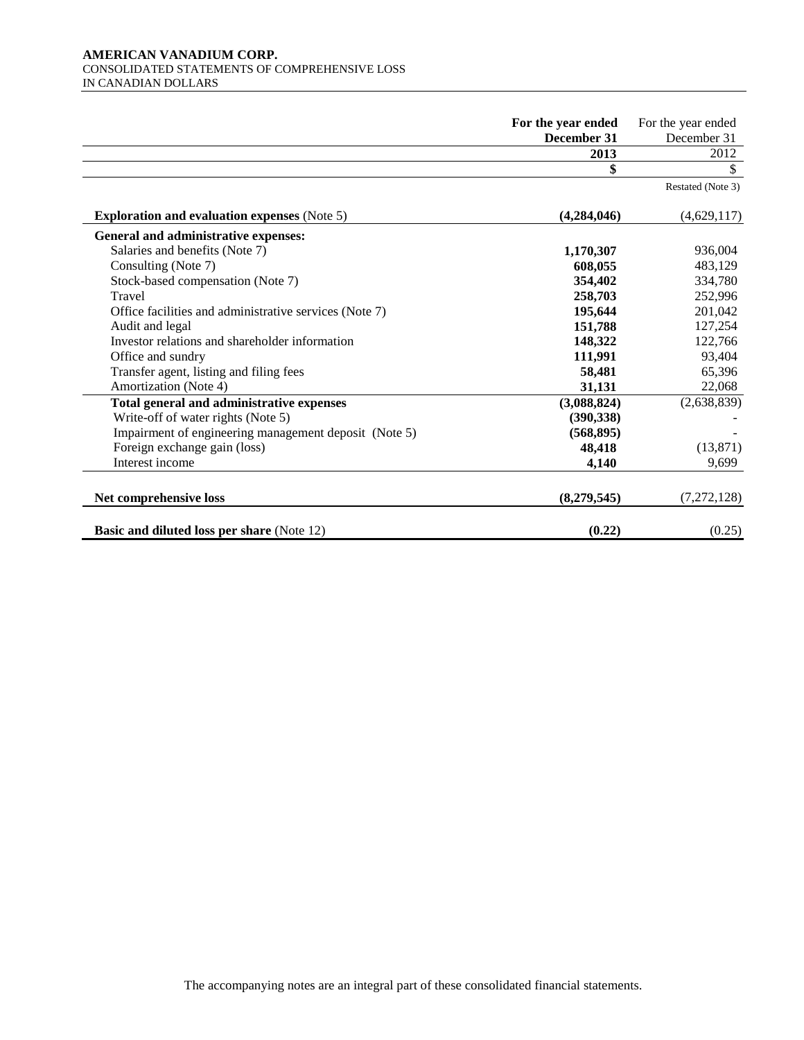# **AMERICAN VANADIUM CORP.**  CONSOLIDATED STATEMENTS OF COMPREHENSIVE LOSS IN CANADIAN DOLLARS

|                                                        | For the year ended | For the year ended |
|--------------------------------------------------------|--------------------|--------------------|
|                                                        | December 31        | December 31        |
|                                                        | 2013               | 2012               |
|                                                        | \$                 | \$                 |
|                                                        |                    | Restated (Note 3)  |
| <b>Exploration and evaluation expenses (Note 5)</b>    | (4,284,046)        | (4,629,117)        |
| General and administrative expenses:                   |                    |                    |
| Salaries and benefits (Note 7)                         | 1,170,307          | 936,004            |
| Consulting (Note 7)                                    | 608,055            | 483,129            |
| Stock-based compensation (Note 7)                      | 354,402            | 334,780            |
| Travel                                                 | 258,703            | 252,996            |
| Office facilities and administrative services (Note 7) | 195,644            | 201,042            |
| Audit and legal                                        | 151,788            | 127,254            |
| Investor relations and shareholder information         | 148,322            | 122,766            |
| Office and sundry                                      | 111,991            | 93,404             |
| Transfer agent, listing and filing fees                | 58,481             | 65,396             |
| Amortization (Note 4)                                  | 31,131             | 22,068             |
| Total general and administrative expenses              | (3,088,824)        | (2,638,839)        |
| Write-off of water rights (Note 5)                     | (390, 338)         |                    |
| Impairment of engineering management deposit (Note 5)  | (568, 895)         |                    |
| Foreign exchange gain (loss)                           | 48,418             | (13, 871)          |
| Interest income                                        | 4,140              | 9,699              |
| Net comprehensive loss                                 | (8,279,545)        | (7, 272, 128)      |
| <b>Basic and diluted loss per share (Note 12)</b>      | (0.22)             | (0.25)             |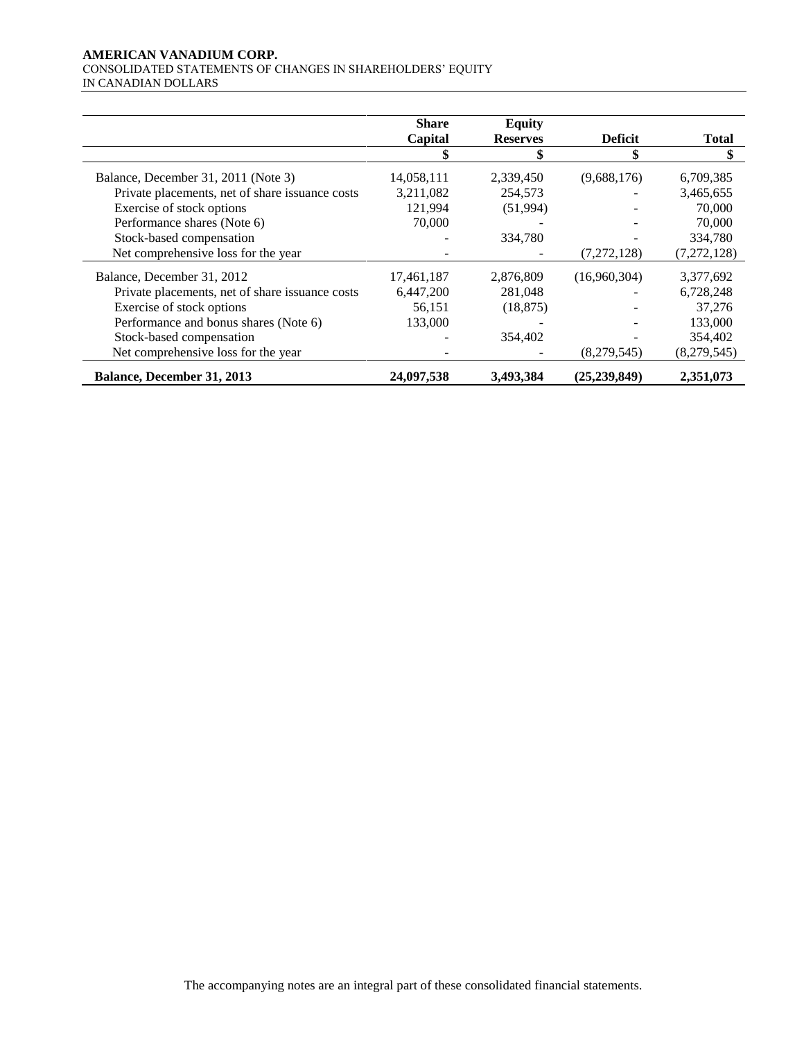# **AMERICAN VANADIUM CORP.**

CONSOLIDATED STATEMENTS OF CHANGES IN SHAREHOLDERS' EQUITY IN CANADIAN DOLLARS

|                                                 | <b>Share</b> | <b>Equity</b>   |                |              |
|-------------------------------------------------|--------------|-----------------|----------------|--------------|
|                                                 | Capital      | <b>Reserves</b> | <b>Deficit</b> | <b>Total</b> |
|                                                 |              |                 |                | \$           |
| Balance, December 31, 2011 (Note 3)             | 14,058,111   | 2,339,450       | (9,688,176)    | 6,709,385    |
| Private placements, net of share issuance costs | 3,211,082    | 254,573         |                | 3,465,655    |
| Exercise of stock options                       | 121,994      | (51,994)        |                | 70,000       |
| Performance shares (Note 6)                     | 70,000       |                 |                | 70,000       |
| Stock-based compensation                        |              | 334.780         |                | 334,780      |
| Net comprehensive loss for the year             |              |                 | (7,272,128)    | (7,272,128)  |
| Balance, December 31, 2012                      | 17,461,187   | 2,876,809       | (16,960,304)   | 3,377,692    |
| Private placements, net of share issuance costs | 6,447,200    | 281,048         |                | 6,728,248    |
| Exercise of stock options                       | 56,151       | (18, 875)       |                | 37,276       |
| Performance and bonus shares (Note 6)           | 133,000      |                 |                | 133,000      |
| Stock-based compensation                        |              | 354,402         |                | 354,402      |
| Net comprehensive loss for the year             |              |                 | (8,279,545)    | (8,279,545)  |
| <b>Balance, December 31, 2013</b>               | 24,097,538   | 3,493,384       | (25, 239, 849) | 2,351,073    |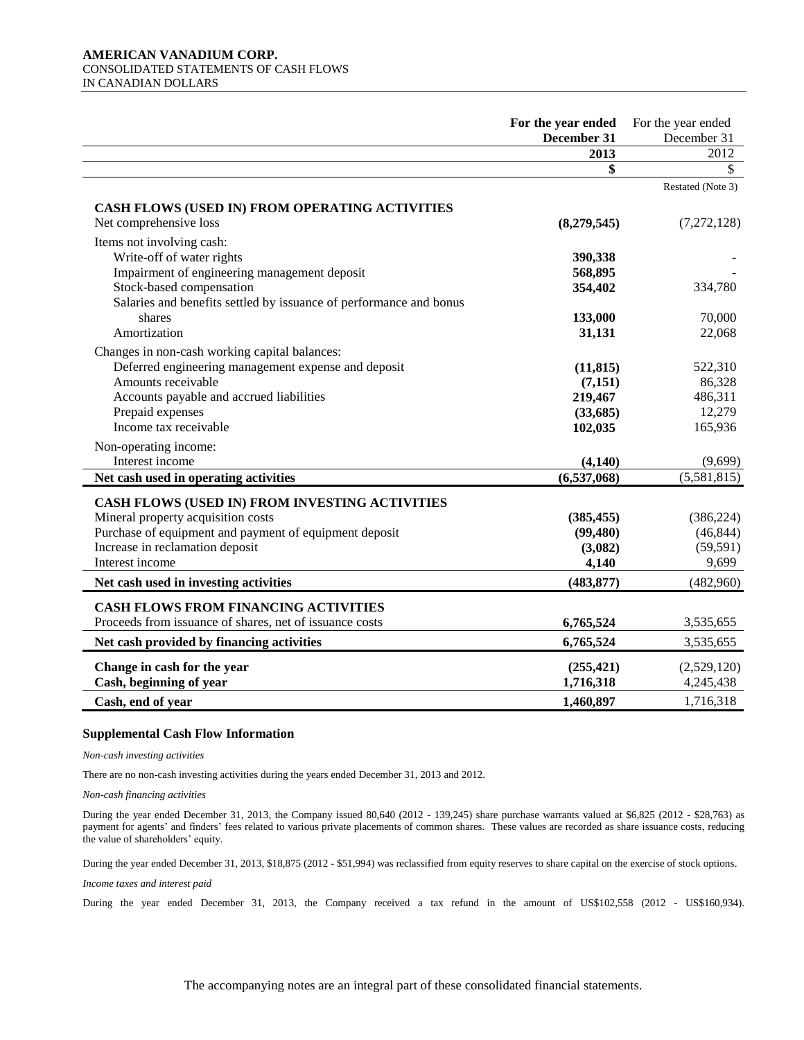#### **AMERICAN VANADIUM CORP.**  CONSOLIDATED STATEMENTS OF CASH FLOWS IN CANADIAN DOLLARS

|                                                                          | For the year ended<br>December 31 | For the year ended<br>December 31 |
|--------------------------------------------------------------------------|-----------------------------------|-----------------------------------|
|                                                                          | 2013                              | 2012                              |
|                                                                          | \$                                | $\mathbb{S}$                      |
|                                                                          |                                   | Restated (Note 3)                 |
| CASH FLOWS (USED IN) FROM OPERATING ACTIVITIES<br>Net comprehensive loss | (8,279,545)                       | (7, 272, 128)                     |
| Items not involving cash:                                                |                                   |                                   |
| Write-off of water rights                                                | 390,338                           |                                   |
| Impairment of engineering management deposit                             | 568,895                           |                                   |
| Stock-based compensation                                                 | 354,402                           | 334,780                           |
| Salaries and benefits settled by issuance of performance and bonus       |                                   |                                   |
| shares                                                                   | 133,000                           | 70,000                            |
| Amortization                                                             | 31,131                            | 22,068                            |
| Changes in non-cash working capital balances:                            |                                   |                                   |
| Deferred engineering management expense and deposit                      | (11, 815)                         | 522,310                           |
| Amounts receivable                                                       | (7,151)                           | 86,328                            |
| Accounts payable and accrued liabilities                                 | 219,467                           | 486,311                           |
| Prepaid expenses                                                         | (33,685)                          | 12,279                            |
| Income tax receivable                                                    | 102,035                           | 165,936                           |
| Non-operating income:                                                    |                                   |                                   |
| Interest income                                                          | (4, 140)                          | (9,699)                           |
| Net cash used in operating activities                                    | (6,537,068)                       | (5,581,815)                       |
| CASH FLOWS (USED IN) FROM INVESTING ACTIVITIES                           |                                   |                                   |
| Mineral property acquisition costs                                       | (385, 455)                        | (386, 224)                        |
| Purchase of equipment and payment of equipment deposit                   | (99, 480)                         | (46, 844)                         |
| Increase in reclamation deposit                                          | (3,082)                           | (59, 591)                         |
| Interest income                                                          | 4,140                             | 9,699                             |
| Net cash used in investing activities                                    | (483, 877)                        | (482,960)                         |
| <b>CASH FLOWS FROM FINANCING ACTIVITIES</b>                              |                                   |                                   |
| Proceeds from issuance of shares, net of issuance costs                  | 6,765,524                         | 3,535,655                         |
| Net cash provided by financing activities                                | 6,765,524                         | 3,535,655                         |
| Change in cash for the year                                              | (255, 421)                        | (2,529,120)                       |
| Cash, beginning of year                                                  | 1,716,318                         | 4,245,438                         |
| Cash, end of year                                                        | 1,460,897                         | 1,716,318                         |

#### **Supplemental Cash Flow Information**

*Non-cash investing activities* 

There are no non-cash investing activities during the years ended December 31, 2013 and 2012.

*Non-cash financing activities*

During the year ended December 31, 2013, the Company issued 80,640 (2012 - 139,245) share purchase warrants valued at \$6,825 (2012 - \$28,763) as payment for agents' and finders' fees related to various private placements of common shares. These values are recorded as share issuance costs, reducing the value of shareholders' equity.

During the year ended December 31, 2013, \$18,875 (2012 - \$51,994) was reclassified from equity reserves to share capital on the exercise of stock options.

*Income taxes and interest paid*

During the year ended December 31, 2013, the Company received a tax refund in the amount of US\$102,558 (2012 - US\$160,934).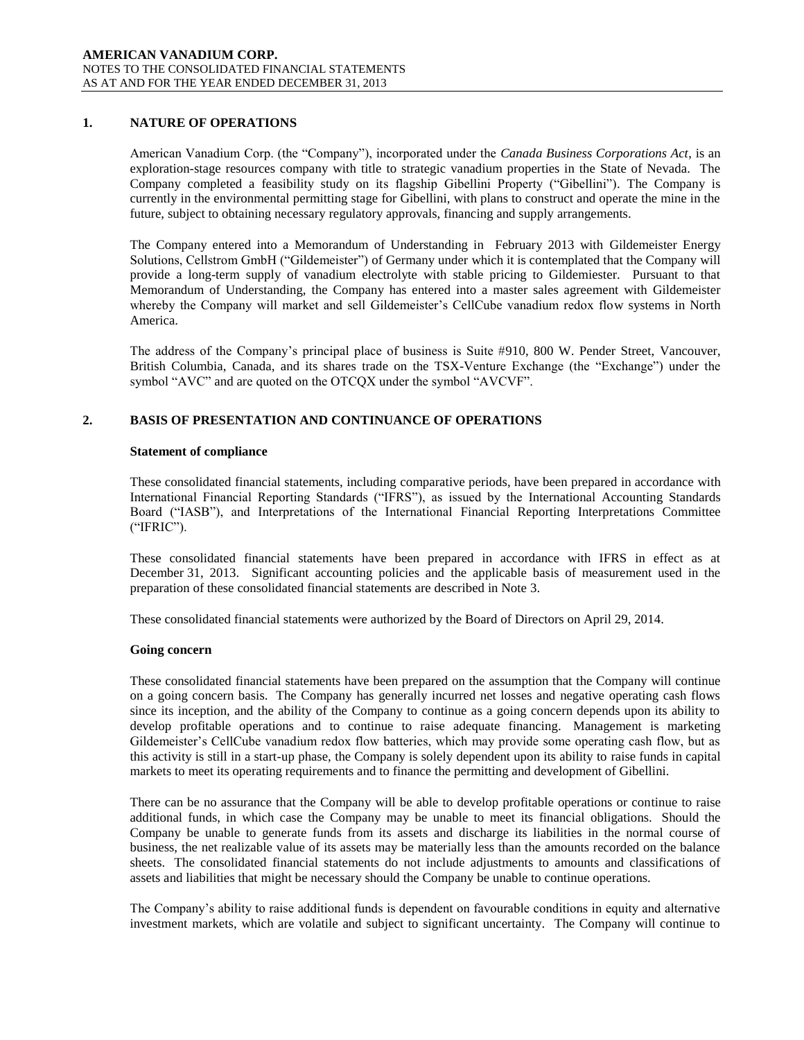# **1. NATURE OF OPERATIONS**

American Vanadium Corp. (the "Company"), incorporated under the *Canada Business Corporations Act*, is an exploration-stage resources company with title to strategic vanadium properties in the State of Nevada. The Company completed a feasibility study on its flagship Gibellini Property ("Gibellini"). The Company is currently in the environmental permitting stage for Gibellini, with plans to construct and operate the mine in the future, subject to obtaining necessary regulatory approvals, financing and supply arrangements.

The Company entered into a Memorandum of Understanding in February 2013 with Gildemeister Energy Solutions, Cellstrom GmbH ("Gildemeister") of Germany under which it is contemplated that the Company will provide a long-term supply of vanadium electrolyte with stable pricing to Gildemiester. Pursuant to that Memorandum of Understanding, the Company has entered into a master sales agreement with Gildemeister whereby the Company will market and sell Gildemeister's CellCube vanadium redox flow systems in North America.

The address of the Company's principal place of business is Suite #910, 800 W. Pender Street, Vancouver, British Columbia, Canada, and its shares trade on the TSX-Venture Exchange (the "Exchange") under the symbol "AVC" and are quoted on the OTCQX under the symbol "AVCVF".

# **2. BASIS OF PRESENTATION AND CONTINUANCE OF OPERATIONS**

### **Statement of compliance**

These consolidated financial statements, including comparative periods, have been prepared in accordance with International Financial Reporting Standards ("IFRS"), as issued by the International Accounting Standards Board ("IASB"), and Interpretations of the International Financial Reporting Interpretations Committee ("IFRIC").

These consolidated financial statements have been prepared in accordance with IFRS in effect as at December 31, 2013. Significant accounting policies and the applicable basis of measurement used in the preparation of these consolidated financial statements are described in Note 3.

These consolidated financial statements were authorized by the Board of Directors on April 29, 2014.

### **Going concern**

These consolidated financial statements have been prepared on the assumption that the Company will continue on a going concern basis. The Company has generally incurred net losses and negative operating cash flows since its inception, and the ability of the Company to continue as a going concern depends upon its ability to develop profitable operations and to continue to raise adequate financing. Management is marketing Gildemeister's CellCube vanadium redox flow batteries, which may provide some operating cash flow, but as this activity is still in a start-up phase, the Company is solely dependent upon its ability to raise funds in capital markets to meet its operating requirements and to finance the permitting and development of Gibellini.

There can be no assurance that the Company will be able to develop profitable operations or continue to raise additional funds, in which case the Company may be unable to meet its financial obligations. Should the Company be unable to generate funds from its assets and discharge its liabilities in the normal course of business, the net realizable value of its assets may be materially less than the amounts recorded on the balance sheets. The consolidated financial statements do not include adjustments to amounts and classifications of assets and liabilities that might be necessary should the Company be unable to continue operations.

The Company's ability to raise additional funds is dependent on favourable conditions in equity and alternative investment markets, which are volatile and subject to significant uncertainty. The Company will continue to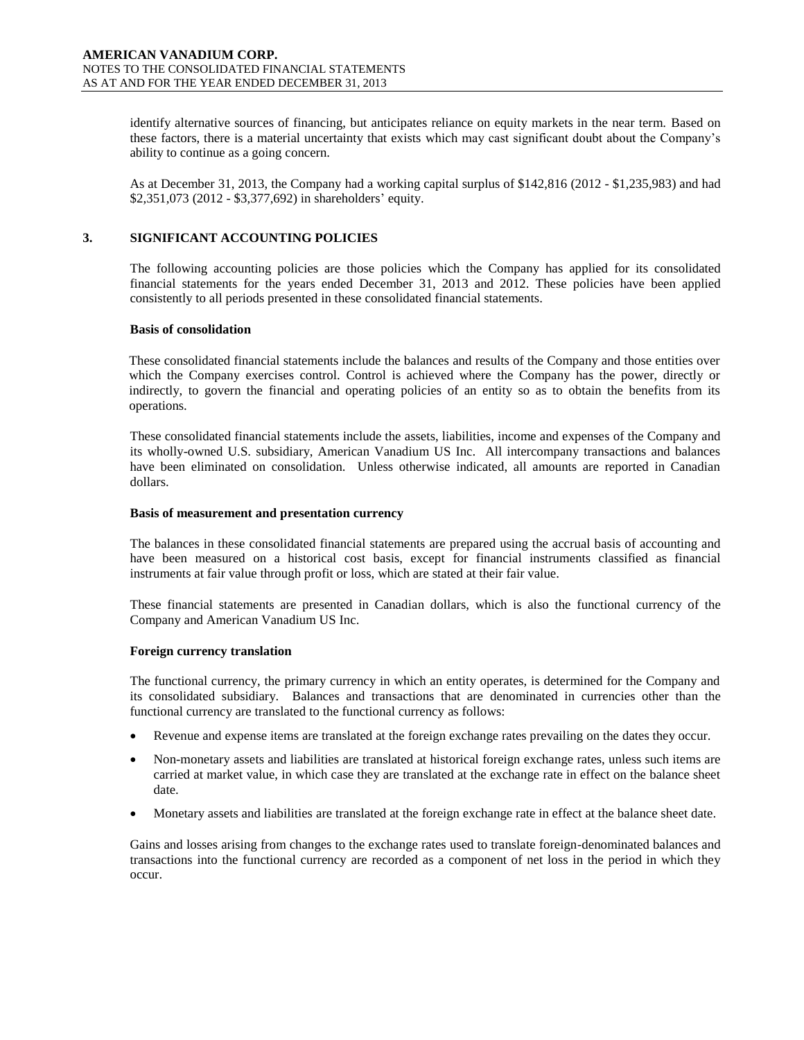identify alternative sources of financing, but anticipates reliance on equity markets in the near term. Based on these factors, there is a material uncertainty that exists which may cast significant doubt about the Company's ability to continue as a going concern.

As at December 31, 2013, the Company had a working capital surplus of \$142,816 (2012 - \$1,235,983) and had \$2,351,073 (2012 - \$3,377,692) in shareholders' equity.

# **3. SIGNIFICANT ACCOUNTING POLICIES**

The following accounting policies are those policies which the Company has applied for its consolidated financial statements for the years ended December 31, 2013 and 2012. These policies have been applied consistently to all periods presented in these consolidated financial statements.

# **Basis of consolidation**

These consolidated financial statements include the balances and results of the Company and those entities over which the Company exercises control. Control is achieved where the Company has the power, directly or indirectly, to govern the financial and operating policies of an entity so as to obtain the benefits from its operations.

These consolidated financial statements include the assets, liabilities, income and expenses of the Company and its wholly-owned U.S. subsidiary, American Vanadium US Inc. All intercompany transactions and balances have been eliminated on consolidation. Unless otherwise indicated, all amounts are reported in Canadian dollars.

# **Basis of measurement and presentation currency**

The balances in these consolidated financial statements are prepared using the accrual basis of accounting and have been measured on a historical cost basis, except for financial instruments classified as financial instruments at fair value through profit or loss, which are stated at their fair value.

These financial statements are presented in Canadian dollars, which is also the functional currency of the Company and American Vanadium US Inc.

# **Foreign currency translation**

The functional currency, the primary currency in which an entity operates, is determined for the Company and its consolidated subsidiary. Balances and transactions that are denominated in currencies other than the functional currency are translated to the functional currency as follows:

- Revenue and expense items are translated at the foreign exchange rates prevailing on the dates they occur.
- Non-monetary assets and liabilities are translated at historical foreign exchange rates, unless such items are carried at market value, in which case they are translated at the exchange rate in effect on the balance sheet date.
- Monetary assets and liabilities are translated at the foreign exchange rate in effect at the balance sheet date.

Gains and losses arising from changes to the exchange rates used to translate foreign-denominated balances and transactions into the functional currency are recorded as a component of net loss in the period in which they occur.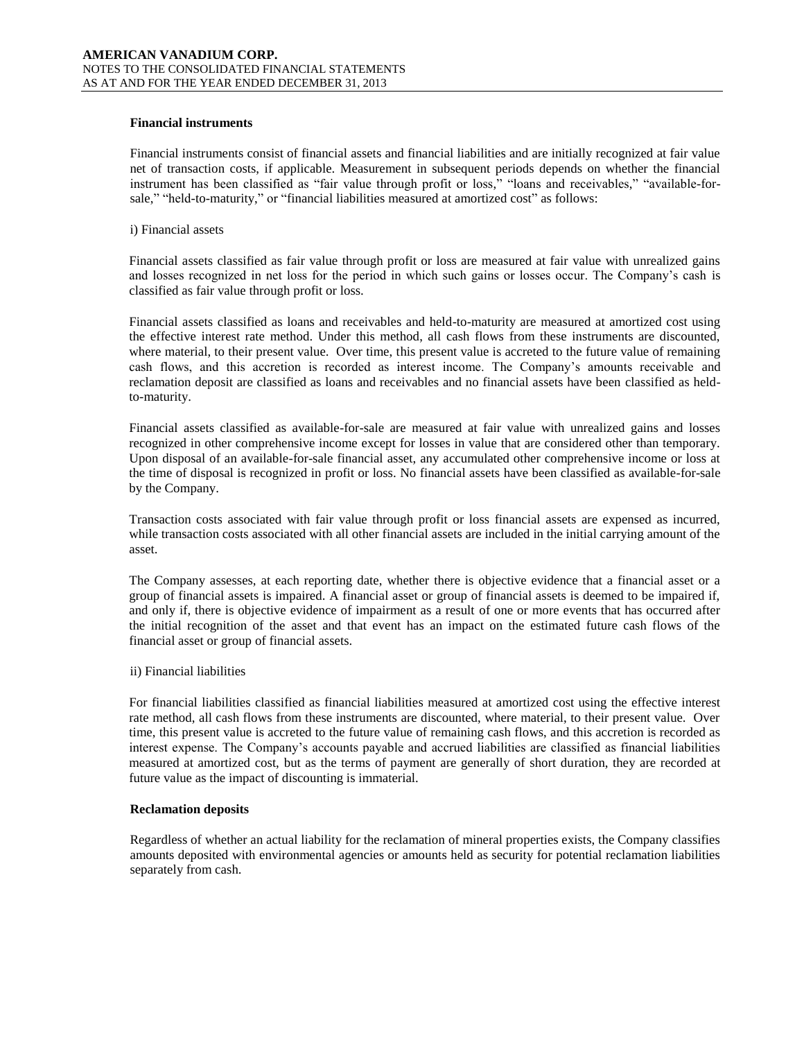# **Financial instruments**

Financial instruments consist of financial assets and financial liabilities and are initially recognized at fair value net of transaction costs, if applicable. Measurement in subsequent periods depends on whether the financial instrument has been classified as "fair value through profit or loss," "loans and receivables," "available-forsale," "held-to-maturity," or "financial liabilities measured at amortized cost" as follows:

### i) Financial assets

Financial assets classified as fair value through profit or loss are measured at fair value with unrealized gains and losses recognized in net loss for the period in which such gains or losses occur. The Company's cash is classified as fair value through profit or loss.

Financial assets classified as loans and receivables and held-to-maturity are measured at amortized cost using the effective interest rate method. Under this method, all cash flows from these instruments are discounted, where material, to their present value. Over time, this present value is accreted to the future value of remaining cash flows, and this accretion is recorded as interest income. The Company's amounts receivable and reclamation deposit are classified as loans and receivables and no financial assets have been classified as heldto-maturity.

Financial assets classified as available-for-sale are measured at fair value with unrealized gains and losses recognized in other comprehensive income except for losses in value that are considered other than temporary. Upon disposal of an available-for-sale financial asset, any accumulated other comprehensive income or loss at the time of disposal is recognized in profit or loss. No financial assets have been classified as available-for-sale by the Company.

Transaction costs associated with fair value through profit or loss financial assets are expensed as incurred, while transaction costs associated with all other financial assets are included in the initial carrying amount of the asset.

The Company assesses, at each reporting date, whether there is objective evidence that a financial asset or a group of financial assets is impaired. A financial asset or group of financial assets is deemed to be impaired if, and only if, there is objective evidence of impairment as a result of one or more events that has occurred after the initial recognition of the asset and that event has an impact on the estimated future cash flows of the financial asset or group of financial assets.

### ii) Financial liabilities

For financial liabilities classified as financial liabilities measured at amortized cost using the effective interest rate method, all cash flows from these instruments are discounted, where material, to their present value. Over time, this present value is accreted to the future value of remaining cash flows, and this accretion is recorded as interest expense. The Company's accounts payable and accrued liabilities are classified as financial liabilities measured at amortized cost, but as the terms of payment are generally of short duration, they are recorded at future value as the impact of discounting is immaterial.

### **Reclamation deposits**

Regardless of whether an actual liability for the reclamation of mineral properties exists, the Company classifies amounts deposited with environmental agencies or amounts held as security for potential reclamation liabilities separately from cash.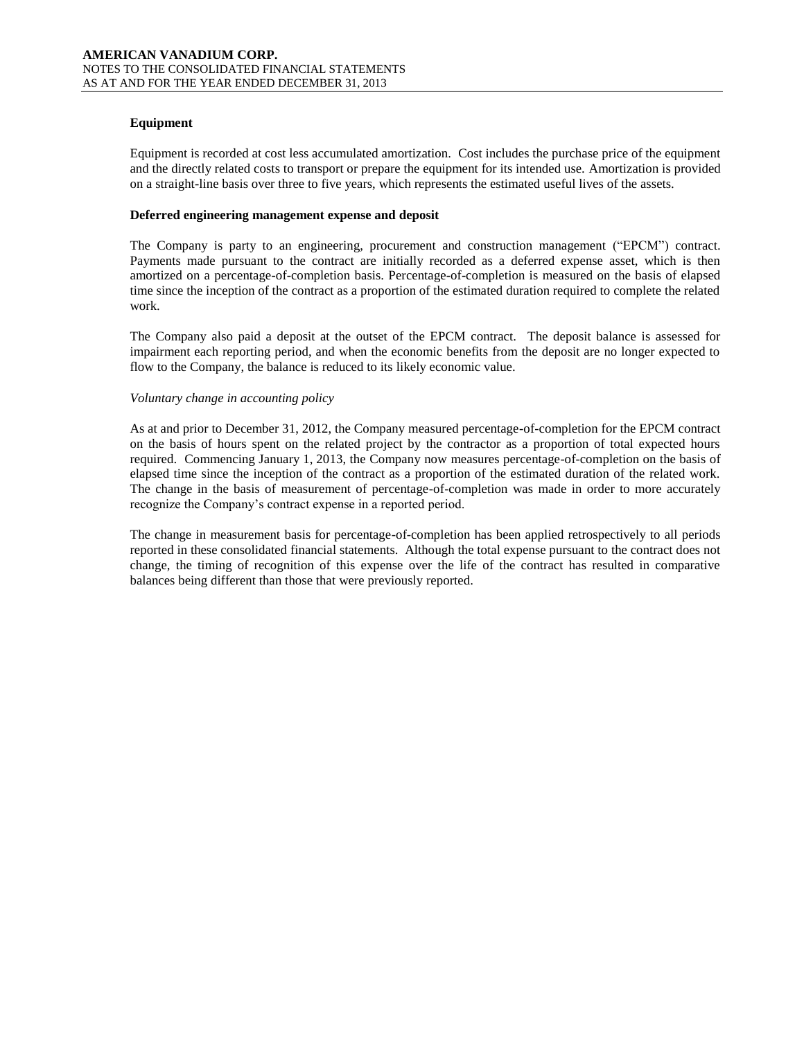# **Equipment**

Equipment is recorded at cost less accumulated amortization. Cost includes the purchase price of the equipment and the directly related costs to transport or prepare the equipment for its intended use. Amortization is provided on a straight-line basis over three to five years, which represents the estimated useful lives of the assets.

# **Deferred engineering management expense and deposit**

The Company is party to an engineering, procurement and construction management ("EPCM") contract. Payments made pursuant to the contract are initially recorded as a deferred expense asset, which is then amortized on a percentage-of-completion basis. Percentage-of-completion is measured on the basis of elapsed time since the inception of the contract as a proportion of the estimated duration required to complete the related work.

The Company also paid a deposit at the outset of the EPCM contract. The deposit balance is assessed for impairment each reporting period, and when the economic benefits from the deposit are no longer expected to flow to the Company, the balance is reduced to its likely economic value.

# *Voluntary change in accounting policy*

As at and prior to December 31, 2012, the Company measured percentage-of-completion for the EPCM contract on the basis of hours spent on the related project by the contractor as a proportion of total expected hours required. Commencing January 1, 2013, the Company now measures percentage-of-completion on the basis of elapsed time since the inception of the contract as a proportion of the estimated duration of the related work. The change in the basis of measurement of percentage-of-completion was made in order to more accurately recognize the Company's contract expense in a reported period.

The change in measurement basis for percentage-of-completion has been applied retrospectively to all periods reported in these consolidated financial statements. Although the total expense pursuant to the contract does not change, the timing of recognition of this expense over the life of the contract has resulted in comparative balances being different than those that were previously reported.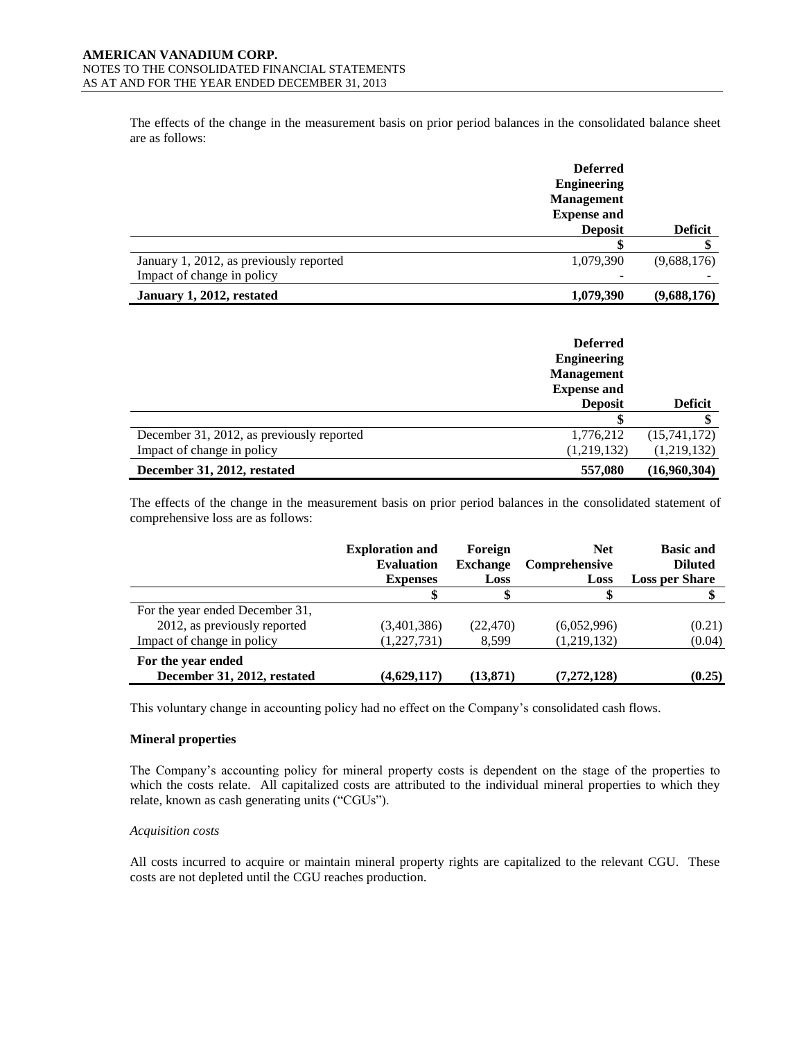The effects of the change in the measurement basis on prior period balances in the consolidated balance sheet are as follows:

|                                         | <b>Deferred</b><br><b>Engineering</b>   |                |
|-----------------------------------------|-----------------------------------------|----------------|
|                                         | <b>Management</b><br><b>Expense and</b> |                |
|                                         | <b>Deposit</b>                          | <b>Deficit</b> |
|                                         |                                         |                |
| January 1, 2012, as previously reported | 1,079,390                               | (9,688,176)    |
| Impact of change in policy              |                                         |                |
| January 1, 2012, restated               | 1,079,390                               | (9,688,176)    |

|                                           | <b>Deferred</b><br><b>Engineering</b><br><b>Management</b><br><b>Expense and</b><br><b>Deposit</b> | <b>Deficit</b> |
|-------------------------------------------|----------------------------------------------------------------------------------------------------|----------------|
|                                           |                                                                                                    |                |
| December 31, 2012, as previously reported | 1,776,212                                                                                          | (15,741,172)   |
| Impact of change in policy                | (1,219,132)                                                                                        | (1,219,132)    |
| December 31, 2012, restated               | 557,080                                                                                            | (16,960,304)   |

The effects of the change in the measurement basis on prior period balances in the consolidated statement of comprehensive loss are as follows:

|                                                   | <b>Exploration and</b><br><b>Evaluation</b> | Foreign<br><b>Exchange</b> | <b>Net</b><br><b>Comprehensive</b> | <b>Basic and</b><br><b>Diluted</b> |
|---------------------------------------------------|---------------------------------------------|----------------------------|------------------------------------|------------------------------------|
|                                                   | <b>Expenses</b>                             | Loss                       | Loss                               | <b>Loss per Share</b>              |
|                                                   |                                             |                            |                                    |                                    |
| For the year ended December 31,                   |                                             |                            |                                    |                                    |
| 2012, as previously reported                      | (3,401,386)                                 | (22, 470)                  | (6,052,996)                        | (0.21)                             |
| Impact of change in policy                        | (1,227,731)                                 | 8.599                      | (1,219,132)                        | (0.04)                             |
| For the year ended<br>December 31, 2012, restated | (4,629,117)                                 | (13, 871)                  | (7, 272, 128)                      | (0.25)                             |

This voluntary change in accounting policy had no effect on the Company's consolidated cash flows.

### **Mineral properties**

The Company's accounting policy for mineral property costs is dependent on the stage of the properties to which the costs relate. All capitalized costs are attributed to the individual mineral properties to which they relate, known as cash generating units ("CGUs").

### *Acquisition costs*

All costs incurred to acquire or maintain mineral property rights are capitalized to the relevant CGU. These costs are not depleted until the CGU reaches production.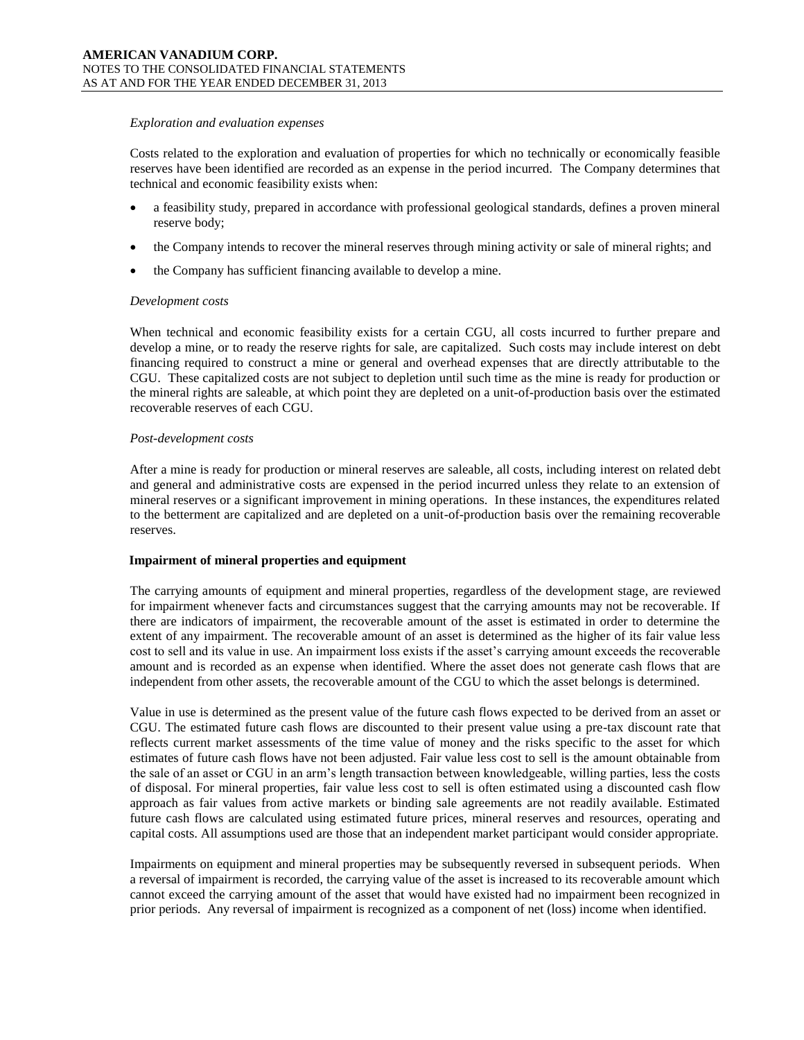#### *Exploration and evaluation expenses*

Costs related to the exploration and evaluation of properties for which no technically or economically feasible reserves have been identified are recorded as an expense in the period incurred. The Company determines that technical and economic feasibility exists when:

- a feasibility study, prepared in accordance with professional geological standards, defines a proven mineral reserve body;
- the Company intends to recover the mineral reserves through mining activity or sale of mineral rights; and
- the Company has sufficient financing available to develop a mine.

#### *Development costs*

When technical and economic feasibility exists for a certain CGU, all costs incurred to further prepare and develop a mine, or to ready the reserve rights for sale, are capitalized. Such costs may include interest on debt financing required to construct a mine or general and overhead expenses that are directly attributable to the CGU. These capitalized costs are not subject to depletion until such time as the mine is ready for production or the mineral rights are saleable, at which point they are depleted on a unit-of-production basis over the estimated recoverable reserves of each CGU.

#### *Post-development costs*

After a mine is ready for production or mineral reserves are saleable, all costs, including interest on related debt and general and administrative costs are expensed in the period incurred unless they relate to an extension of mineral reserves or a significant improvement in mining operations. In these instances, the expenditures related to the betterment are capitalized and are depleted on a unit-of-production basis over the remaining recoverable reserves.

#### **Impairment of mineral properties and equipment**

The carrying amounts of equipment and mineral properties, regardless of the development stage, are reviewed for impairment whenever facts and circumstances suggest that the carrying amounts may not be recoverable. If there are indicators of impairment, the recoverable amount of the asset is estimated in order to determine the extent of any impairment. The recoverable amount of an asset is determined as the higher of its fair value less cost to sell and its value in use. An impairment loss exists if the asset's carrying amount exceeds the recoverable amount and is recorded as an expense when identified. Where the asset does not generate cash flows that are independent from other assets, the recoverable amount of the CGU to which the asset belongs is determined.

Value in use is determined as the present value of the future cash flows expected to be derived from an asset or CGU. The estimated future cash flows are discounted to their present value using a pre-tax discount rate that reflects current market assessments of the time value of money and the risks specific to the asset for which estimates of future cash flows have not been adjusted. Fair value less cost to sell is the amount obtainable from the sale of an asset or CGU in an arm's length transaction between knowledgeable, willing parties, less the costs of disposal. For mineral properties, fair value less cost to sell is often estimated using a discounted cash flow approach as fair values from active markets or binding sale agreements are not readily available. Estimated future cash flows are calculated using estimated future prices, mineral reserves and resources, operating and capital costs. All assumptions used are those that an independent market participant would consider appropriate.

Impairments on equipment and mineral properties may be subsequently reversed in subsequent periods. When a reversal of impairment is recorded, the carrying value of the asset is increased to its recoverable amount which cannot exceed the carrying amount of the asset that would have existed had no impairment been recognized in prior periods. Any reversal of impairment is recognized as a component of net (loss) income when identified.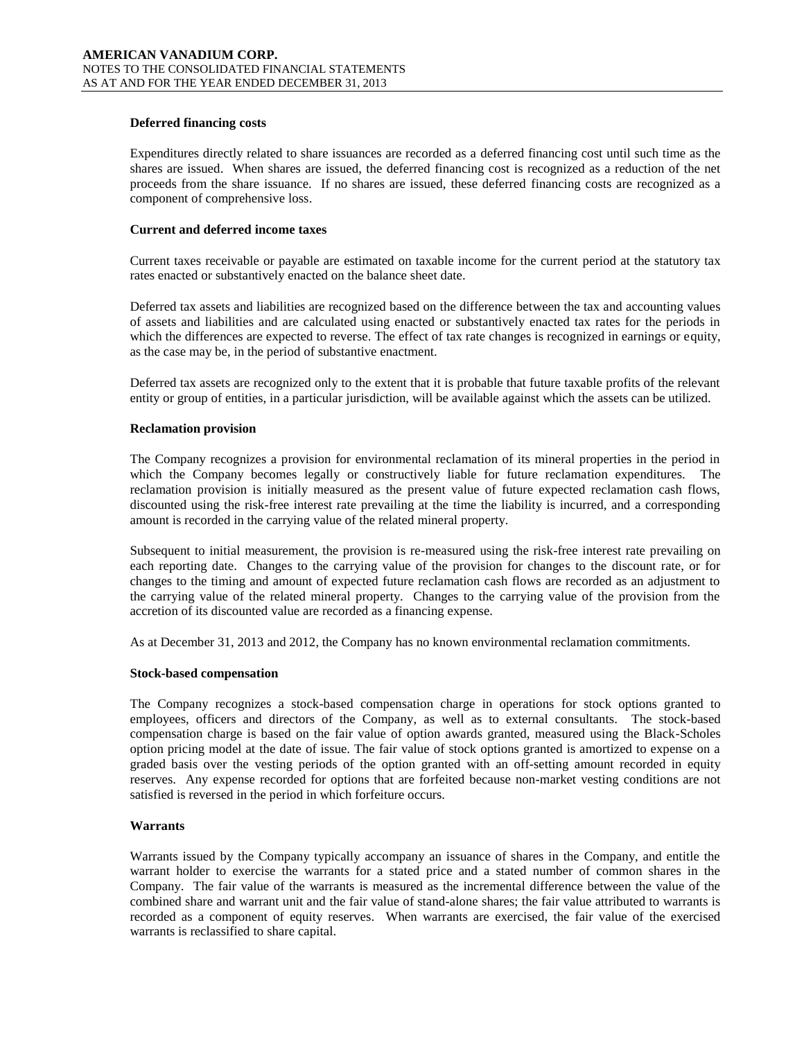# **Deferred financing costs**

Expenditures directly related to share issuances are recorded as a deferred financing cost until such time as the shares are issued. When shares are issued, the deferred financing cost is recognized as a reduction of the net proceeds from the share issuance. If no shares are issued, these deferred financing costs are recognized as a component of comprehensive loss.

# **Current and deferred income taxes**

Current taxes receivable or payable are estimated on taxable income for the current period at the statutory tax rates enacted or substantively enacted on the balance sheet date.

Deferred tax assets and liabilities are recognized based on the difference between the tax and accounting values of assets and liabilities and are calculated using enacted or substantively enacted tax rates for the periods in which the differences are expected to reverse. The effect of tax rate changes is recognized in earnings or equity, as the case may be, in the period of substantive enactment.

Deferred tax assets are recognized only to the extent that it is probable that future taxable profits of the relevant entity or group of entities, in a particular jurisdiction, will be available against which the assets can be utilized.

### **Reclamation provision**

The Company recognizes a provision for environmental reclamation of its mineral properties in the period in which the Company becomes legally or constructively liable for future reclamation expenditures. The reclamation provision is initially measured as the present value of future expected reclamation cash flows, discounted using the risk-free interest rate prevailing at the time the liability is incurred, and a corresponding amount is recorded in the carrying value of the related mineral property.

Subsequent to initial measurement, the provision is re-measured using the risk-free interest rate prevailing on each reporting date. Changes to the carrying value of the provision for changes to the discount rate, or for changes to the timing and amount of expected future reclamation cash flows are recorded as an adjustment to the carrying value of the related mineral property. Changes to the carrying value of the provision from the accretion of its discounted value are recorded as a financing expense.

As at December 31, 2013 and 2012, the Company has no known environmental reclamation commitments.

### **Stock-based compensation**

The Company recognizes a stock-based compensation charge in operations for stock options granted to employees, officers and directors of the Company, as well as to external consultants. The stock-based compensation charge is based on the fair value of option awards granted, measured using the Black-Scholes option pricing model at the date of issue. The fair value of stock options granted is amortized to expense on a graded basis over the vesting periods of the option granted with an off-setting amount recorded in equity reserves. Any expense recorded for options that are forfeited because non-market vesting conditions are not satisfied is reversed in the period in which forfeiture occurs.

### **Warrants**

Warrants issued by the Company typically accompany an issuance of shares in the Company, and entitle the warrant holder to exercise the warrants for a stated price and a stated number of common shares in the Company. The fair value of the warrants is measured as the incremental difference between the value of the combined share and warrant unit and the fair value of stand-alone shares; the fair value attributed to warrants is recorded as a component of equity reserves. When warrants are exercised, the fair value of the exercised warrants is reclassified to share capital.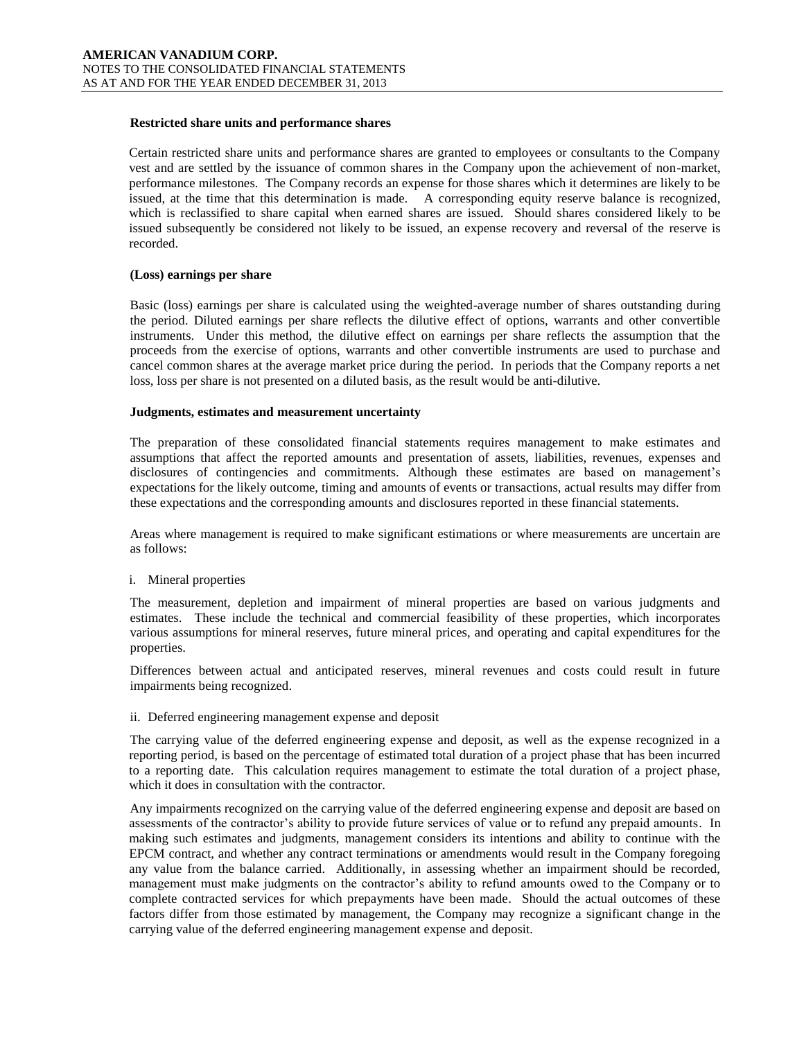# **Restricted share units and performance shares**

Certain restricted share units and performance shares are granted to employees or consultants to the Company vest and are settled by the issuance of common shares in the Company upon the achievement of non-market, performance milestones. The Company records an expense for those shares which it determines are likely to be issued, at the time that this determination is made. A corresponding equity reserve balance is recognized, which is reclassified to share capital when earned shares are issued. Should shares considered likely to be issued subsequently be considered not likely to be issued, an expense recovery and reversal of the reserve is recorded.

# **(Loss) earnings per share**

Basic (loss) earnings per share is calculated using the weighted-average number of shares outstanding during the period. Diluted earnings per share reflects the dilutive effect of options, warrants and other convertible instruments. Under this method, the dilutive effect on earnings per share reflects the assumption that the proceeds from the exercise of options, warrants and other convertible instruments are used to purchase and cancel common shares at the average market price during the period. In periods that the Company reports a net loss, loss per share is not presented on a diluted basis, as the result would be anti-dilutive.

### **Judgments, estimates and measurement uncertainty**

The preparation of these consolidated financial statements requires management to make estimates and assumptions that affect the reported amounts and presentation of assets, liabilities, revenues, expenses and disclosures of contingencies and commitments. Although these estimates are based on management's expectations for the likely outcome, timing and amounts of events or transactions, actual results may differ from these expectations and the corresponding amounts and disclosures reported in these financial statements.

Areas where management is required to make significant estimations or where measurements are uncertain are as follows:

### i. Mineral properties

The measurement, depletion and impairment of mineral properties are based on various judgments and estimates. These include the technical and commercial feasibility of these properties, which incorporates various assumptions for mineral reserves, future mineral prices, and operating and capital expenditures for the properties.

Differences between actual and anticipated reserves, mineral revenues and costs could result in future impairments being recognized.

### ii. Deferred engineering management expense and deposit

The carrying value of the deferred engineering expense and deposit, as well as the expense recognized in a reporting period, is based on the percentage of estimated total duration of a project phase that has been incurred to a reporting date. This calculation requires management to estimate the total duration of a project phase, which it does in consultation with the contractor.

Any impairments recognized on the carrying value of the deferred engineering expense and deposit are based on assessments of the contractor's ability to provide future services of value or to refund any prepaid amounts. In making such estimates and judgments, management considers its intentions and ability to continue with the EPCM contract, and whether any contract terminations or amendments would result in the Company foregoing any value from the balance carried. Additionally, in assessing whether an impairment should be recorded, management must make judgments on the contractor's ability to refund amounts owed to the Company or to complete contracted services for which prepayments have been made. Should the actual outcomes of these factors differ from those estimated by management, the Company may recognize a significant change in the carrying value of the deferred engineering management expense and deposit.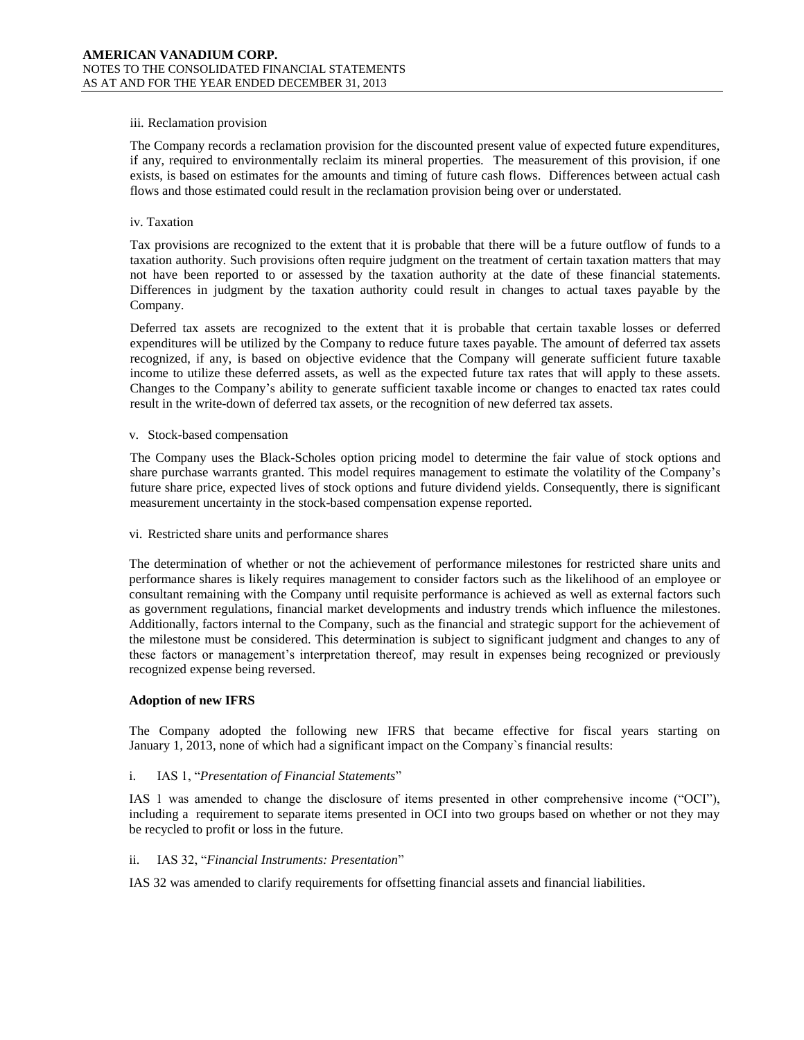### iii. Reclamation provision

The Company records a reclamation provision for the discounted present value of expected future expenditures, if any, required to environmentally reclaim its mineral properties. The measurement of this provision, if one exists, is based on estimates for the amounts and timing of future cash flows. Differences between actual cash flows and those estimated could result in the reclamation provision being over or understated.

# iv. Taxation

Tax provisions are recognized to the extent that it is probable that there will be a future outflow of funds to a taxation authority. Such provisions often require judgment on the treatment of certain taxation matters that may not have been reported to or assessed by the taxation authority at the date of these financial statements. Differences in judgment by the taxation authority could result in changes to actual taxes payable by the Company.

Deferred tax assets are recognized to the extent that it is probable that certain taxable losses or deferred expenditures will be utilized by the Company to reduce future taxes payable. The amount of deferred tax assets recognized, if any, is based on objective evidence that the Company will generate sufficient future taxable income to utilize these deferred assets, as well as the expected future tax rates that will apply to these assets. Changes to the Company's ability to generate sufficient taxable income or changes to enacted tax rates could result in the write-down of deferred tax assets, or the recognition of new deferred tax assets.

### v. Stock-based compensation

The Company uses the Black-Scholes option pricing model to determine the fair value of stock options and share purchase warrants granted. This model requires management to estimate the volatility of the Company's future share price, expected lives of stock options and future dividend yields. Consequently, there is significant measurement uncertainty in the stock-based compensation expense reported.

# vi. Restricted share units and performance shares

The determination of whether or not the achievement of performance milestones for restricted share units and performance shares is likely requires management to consider factors such as the likelihood of an employee or consultant remaining with the Company until requisite performance is achieved as well as external factors such as government regulations, financial market developments and industry trends which influence the milestones. Additionally, factors internal to the Company, such as the financial and strategic support for the achievement of the milestone must be considered. This determination is subject to significant judgment and changes to any of these factors or management's interpretation thereof, may result in expenses being recognized or previously recognized expense being reversed.

# **Adoption of new IFRS**

The Company adopted the following new IFRS that became effective for fiscal years starting on January 1, 2013, none of which had a significant impact on the Company`s financial results:

# i. IAS 1, "*Presentation of Financial Statements*"

IAS 1 was amended to change the disclosure of items presented in other comprehensive income ("OCI"), including a requirement to separate items presented in OCI into two groups based on whether or not they may be recycled to profit or loss in the future.

### ii. IAS 32, "*Financial Instruments: Presentation*"

IAS 32 was amended to clarify requirements for offsetting financial assets and financial liabilities.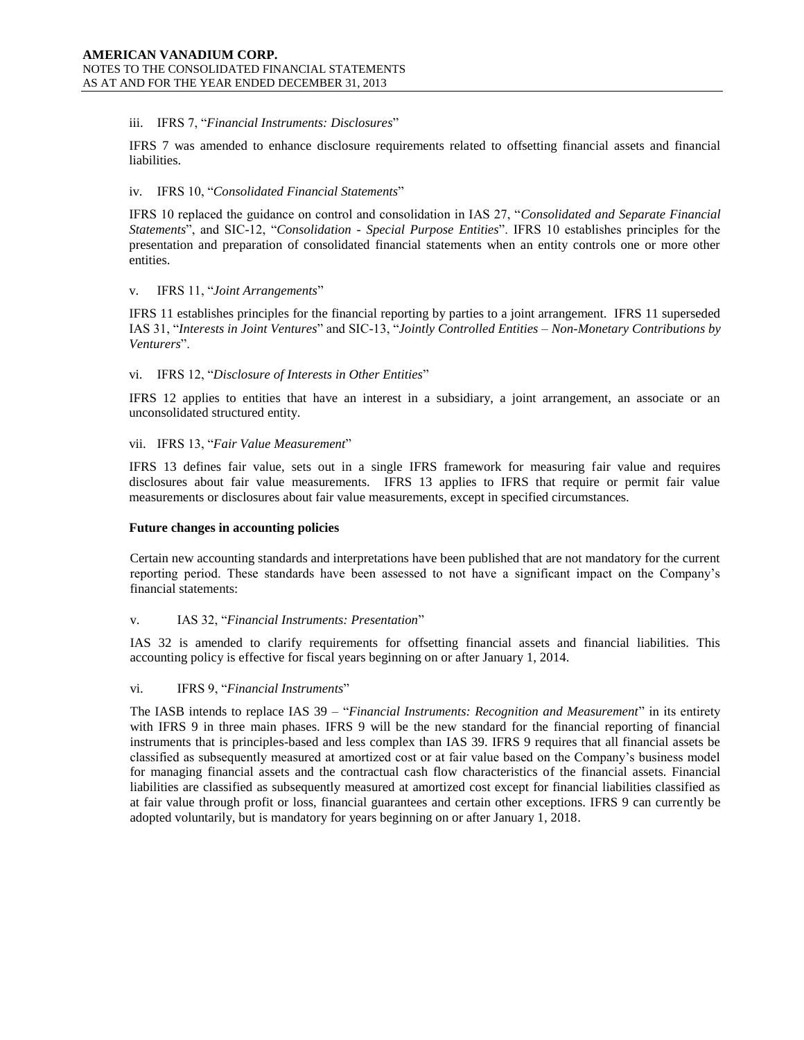# iii. IFRS 7, "*Financial Instruments: Disclosures*"

IFRS 7 was amended to enhance disclosure requirements related to offsetting financial assets and financial liabilities.

# iv. IFRS 10, "*Consolidated Financial Statements*"

IFRS 10 replaced the guidance on control and consolidation in IAS 27, "*Consolidated and Separate Financial Statements*", and SIC-12, "*Consolidation - Special Purpose Entities*". IFRS 10 establishes principles for the presentation and preparation of consolidated financial statements when an entity controls one or more other entities.

# v. IFRS 11, "*Joint Arrangements*"

IFRS 11 establishes principles for the financial reporting by parties to a joint arrangement. IFRS 11 superseded IAS 31, "*Interests in Joint Ventures*" and SIC-13, "*Jointly Controlled Entities – Non-Monetary Contributions by Venturers*".

# vi. IFRS 12, "*Disclosure of Interests in Other Entities*"

IFRS 12 applies to entities that have an interest in a subsidiary, a joint arrangement, an associate or an unconsolidated structured entity.

# vii. IFRS 13, "*Fair Value Measurement*"

IFRS 13 defines fair value, sets out in a single IFRS framework for measuring fair value and requires disclosures about fair value measurements. IFRS 13 applies to IFRS that require or permit fair value measurements or disclosures about fair value measurements, except in specified circumstances.

### **Future changes in accounting policies**

Certain new accounting standards and interpretations have been published that are not mandatory for the current reporting period. These standards have been assessed to not have a significant impact on the Company's financial statements:

# v. IAS 32, "*Financial Instruments: Presentation*"

IAS 32 is amended to clarify requirements for offsetting financial assets and financial liabilities. This accounting policy is effective for fiscal years beginning on or after January 1, 2014.

### vi. IFRS 9, "*Financial Instruments*"

The IASB intends to replace IAS 39 – "*Financial Instruments: Recognition and Measurement*" in its entirety with IFRS 9 in three main phases. IFRS 9 will be the new standard for the financial reporting of financial instruments that is principles-based and less complex than IAS 39. IFRS 9 requires that all financial assets be classified as subsequently measured at amortized cost or at fair value based on the Company's business model for managing financial assets and the contractual cash flow characteristics of the financial assets. Financial liabilities are classified as subsequently measured at amortized cost except for financial liabilities classified as at fair value through profit or loss, financial guarantees and certain other exceptions. IFRS 9 can currently be adopted voluntarily, but is mandatory for years beginning on or after January 1, 2018.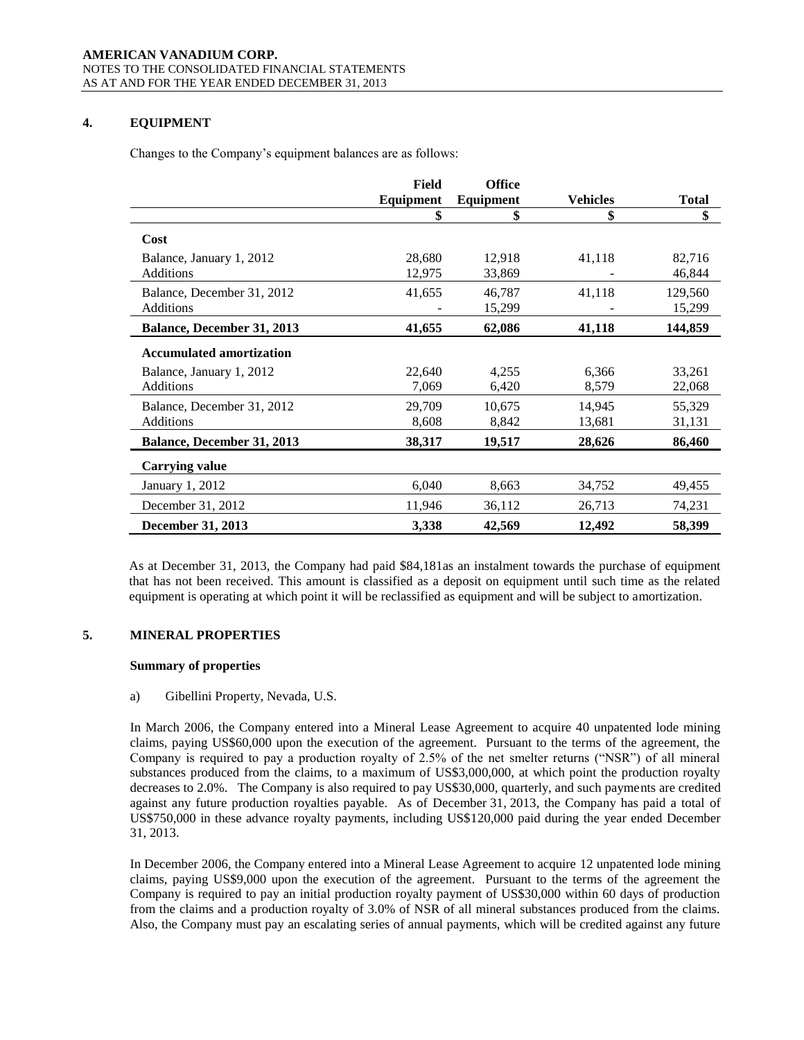# **4. EQUIPMENT**

Changes to the Company's equipment balances are as follows:

|                                   | Field     | <b>Office</b>    |                 |              |
|-----------------------------------|-----------|------------------|-----------------|--------------|
|                                   | Equipment | <b>Equipment</b> | <b>Vehicles</b> | <b>Total</b> |
|                                   | \$        | \$               | \$              | \$           |
| Cost                              |           |                  |                 |              |
| Balance, January 1, 2012          | 28,680    | 12,918           | 41,118          | 82,716       |
| <b>Additions</b>                  | 12,975    | 33,869           |                 | 46,844       |
| Balance, December 31, 2012        | 41,655    | 46,787           | 41,118          | 129,560      |
| <b>Additions</b>                  |           | 15,299           |                 | 15,299       |
| <b>Balance, December 31, 2013</b> | 41,655    | 62,086           | 41,118          | 144,859      |
| <b>Accumulated amortization</b>   |           |                  |                 |              |
| Balance, January 1, 2012          | 22,640    | 4,255            | 6,366           | 33,261       |
| <b>Additions</b>                  | 7,069     | 6,420            | 8,579           | 22,068       |
| Balance, December 31, 2012        | 29,709    | 10,675           | 14,945          | 55,329       |
| <b>Additions</b>                  | 8,608     | 8,842            | 13,681          | 31,131       |
| Balance, December 31, 2013        | 38,317    | 19,517           | 28,626          | 86,460       |
| <b>Carrying value</b>             |           |                  |                 |              |
| January 1, 2012                   | 6,040     | 8,663            | 34,752          | 49,455       |
| December 31, 2012                 | 11,946    | 36,112           | 26,713          | 74,231       |
| <b>December 31, 2013</b>          | 3,338     | 42,569           | 12,492          | 58,399       |

As at December 31, 2013, the Company had paid \$84,181as an instalment towards the purchase of equipment that has not been received. This amount is classified as a deposit on equipment until such time as the related equipment is operating at which point it will be reclassified as equipment and will be subject to amortization.

# **5. MINERAL PROPERTIES**

### **Summary of properties**

a) Gibellini Property, Nevada, U.S.

In March 2006, the Company entered into a Mineral Lease Agreement to acquire 40 unpatented lode mining claims, paying US\$60,000 upon the execution of the agreement. Pursuant to the terms of the agreement, the Company is required to pay a production royalty of 2.5% of the net smelter returns ("NSR") of all mineral substances produced from the claims, to a maximum of US\$3,000,000, at which point the production royalty decreases to 2.0%. The Company is also required to pay US\$30,000, quarterly, and such payments are credited against any future production royalties payable. As of December 31, 2013, the Company has paid a total of US\$750,000 in these advance royalty payments, including US\$120,000 paid during the year ended December 31, 2013.

In December 2006, the Company entered into a Mineral Lease Agreement to acquire 12 unpatented lode mining claims, paying US\$9,000 upon the execution of the agreement. Pursuant to the terms of the agreement the Company is required to pay an initial production royalty payment of US\$30,000 within 60 days of production from the claims and a production royalty of 3.0% of NSR of all mineral substances produced from the claims. Also, the Company must pay an escalating series of annual payments, which will be credited against any future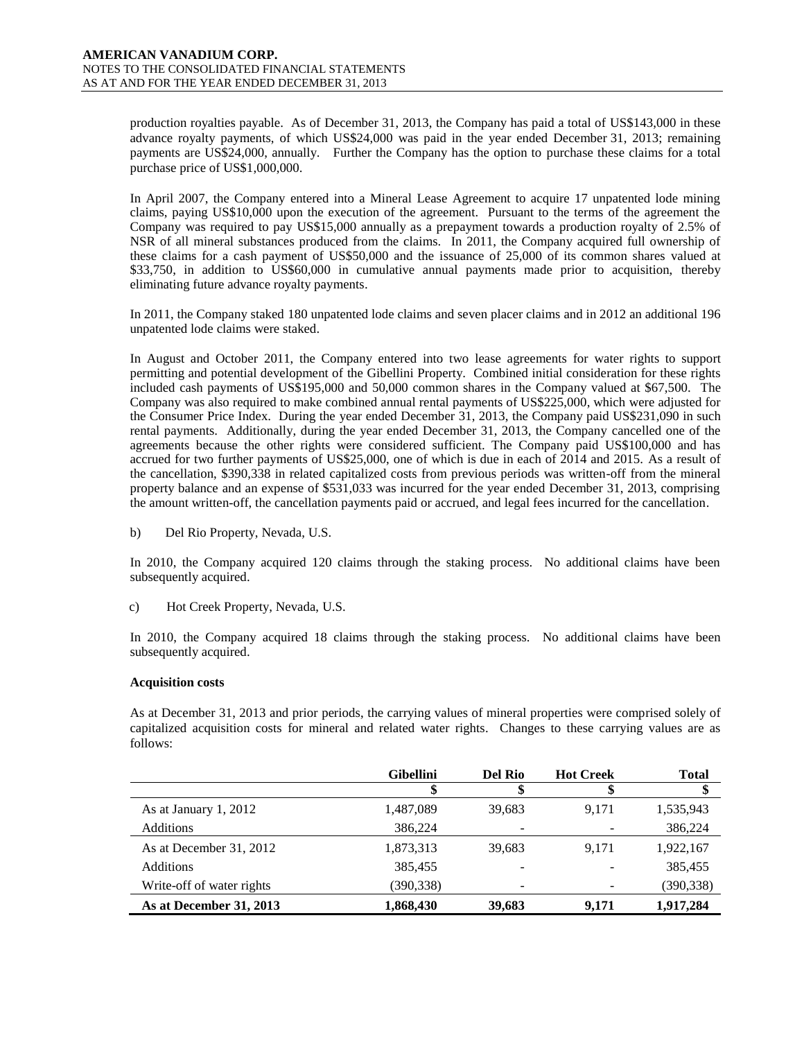production royalties payable. As of December 31, 2013, the Company has paid a total of US\$143,000 in these advance royalty payments, of which US\$24,000 was paid in the year ended December 31, 2013; remaining payments are US\$24,000, annually. Further the Company has the option to purchase these claims for a total purchase price of US\$1,000,000.

In April 2007, the Company entered into a Mineral Lease Agreement to acquire 17 unpatented lode mining claims, paying US\$10,000 upon the execution of the agreement. Pursuant to the terms of the agreement the Company was required to pay US\$15,000 annually as a prepayment towards a production royalty of 2.5% of NSR of all mineral substances produced from the claims. In 2011, the Company acquired full ownership of these claims for a cash payment of US\$50,000 and the issuance of 25,000 of its common shares valued at \$33,750, in addition to US\$60,000 in cumulative annual payments made prior to acquisition, thereby eliminating future advance royalty payments.

In 2011, the Company staked 180 unpatented lode claims and seven placer claims and in 2012 an additional 196 unpatented lode claims were staked.

In August and October 2011, the Company entered into two lease agreements for water rights to support permitting and potential development of the Gibellini Property. Combined initial consideration for these rights included cash payments of US\$195,000 and 50,000 common shares in the Company valued at \$67,500. The Company was also required to make combined annual rental payments of US\$225,000, which were adjusted for the Consumer Price Index. During the year ended December 31, 2013, the Company paid US\$231,090 in such rental payments. Additionally, during the year ended December 31, 2013, the Company cancelled one of the agreements because the other rights were considered sufficient. The Company paid US\$100,000 and has accrued for two further payments of US\$25,000, one of which is due in each of 2014 and 2015. As a result of the cancellation, \$390,338 in related capitalized costs from previous periods was written-off from the mineral property balance and an expense of \$531,033 was incurred for the year ended December 31, 2013, comprising the amount written-off, the cancellation payments paid or accrued, and legal fees incurred for the cancellation.

b) Del Rio Property, Nevada, U.S.

In 2010, the Company acquired 120 claims through the staking process. No additional claims have been subsequently acquired.

c) Hot Creek Property, Nevada, U.S.

In 2010, the Company acquired 18 claims through the staking process. No additional claims have been subsequently acquired.

# **Acquisition costs**

As at December 31, 2013 and prior periods, the carrying values of mineral properties were comprised solely of capitalized acquisition costs for mineral and related water rights. Changes to these carrying values are as follows:

|                           | <b>Gibellini</b> | <b>Del Rio</b> | <b>Hot Creek</b> | <b>Total</b> |
|---------------------------|------------------|----------------|------------------|--------------|
|                           |                  |                |                  |              |
| As at January 1, 2012     | 1,487,089        | 39,683         | 9.171            | 1,535,943    |
| Additions                 | 386.224          | -              |                  | 386,224      |
| As at December 31, 2012   | 1,873,313        | 39.683         | 9.171            | 1,922,167    |
| <b>Additions</b>          | 385,455          |                |                  | 385,455      |
| Write-off of water rights | (390,338)        |                |                  | (390,338)    |
| As at December 31, 2013   | 1,868,430        | 39,683         | 9.171            | 1.917.284    |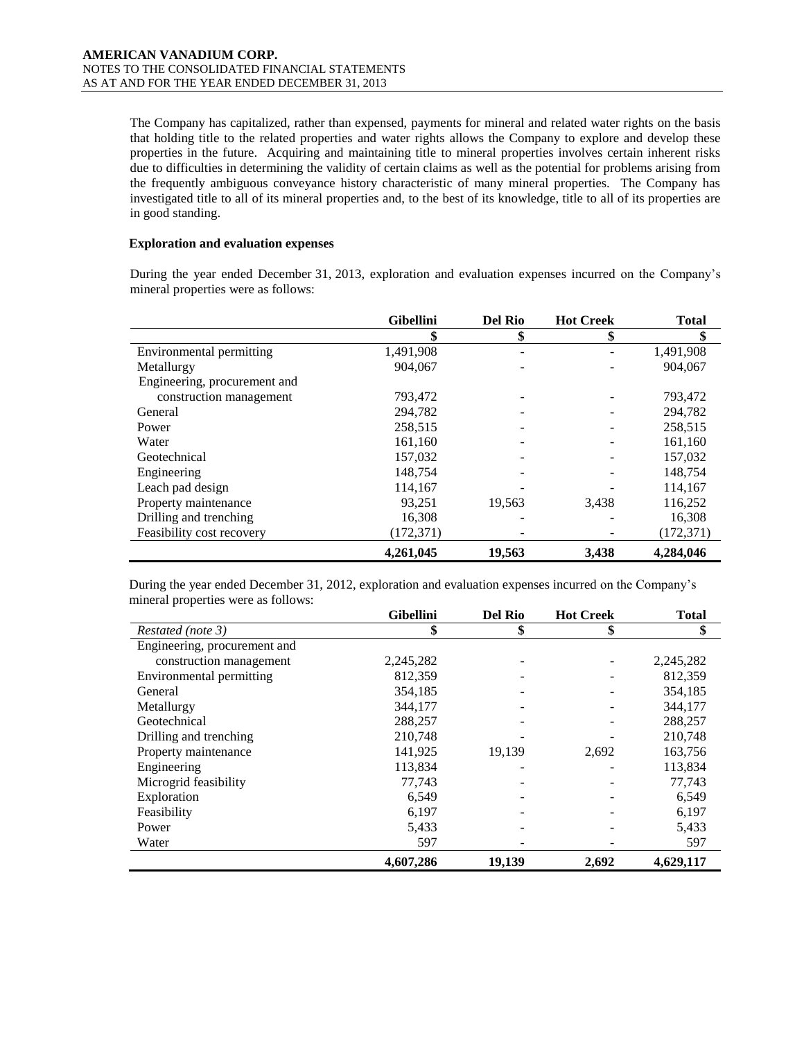The Company has capitalized, rather than expensed, payments for mineral and related water rights on the basis that holding title to the related properties and water rights allows the Company to explore and develop these properties in the future. Acquiring and maintaining title to mineral properties involves certain inherent risks due to difficulties in determining the validity of certain claims as well as the potential for problems arising from the frequently ambiguous conveyance history characteristic of many mineral properties. The Company has investigated title to all of its mineral properties and, to the best of its knowledge, title to all of its properties are in good standing.

### **Exploration and evaluation expenses**

During the year ended December 31, 2013, exploration and evaluation expenses incurred on the Company's mineral properties were as follows:

|                              | <b>Gibellini</b> | <b>Del Rio</b> | <b>Hot Creek</b> | <b>Total</b> |
|------------------------------|------------------|----------------|------------------|--------------|
|                              | \$               | \$             |                  | \$           |
| Environmental permitting     | 1,491,908        |                |                  | 1,491,908    |
| Metallurgy                   | 904,067          |                |                  | 904,067      |
| Engineering, procurement and |                  |                |                  |              |
| construction management      | 793,472          |                |                  | 793,472      |
| General                      | 294,782          |                |                  | 294,782      |
| Power                        | 258,515          |                |                  | 258,515      |
| Water                        | 161,160          |                |                  | 161,160      |
| Geotechnical                 | 157,032          |                |                  | 157,032      |
| Engineering                  | 148,754          |                |                  | 148,754      |
| Leach pad design             | 114,167          |                |                  | 114,167      |
| Property maintenance         | 93,251           | 19,563         | 3,438            | 116,252      |
| Drilling and trenching       | 16,308           |                |                  | 16,308       |
| Feasibility cost recovery    | (172, 371)       |                |                  | (172, 371)   |
|                              | 4,261,045        | 19,563         | 3,438            | 4,284,046    |

During the year ended December 31, 2012, exploration and evaluation expenses incurred on the Company's mineral properties were as follows:

|                              | <b>Gibellini</b> | <b>Del Rio</b> | <b>Hot Creek</b> | <b>Total</b> |
|------------------------------|------------------|----------------|------------------|--------------|
| Restated (note 3)            | \$               | \$             | \$               | \$           |
| Engineering, procurement and |                  |                |                  |              |
| construction management      | 2,245,282        |                |                  | 2,245,282    |
| Environmental permitting     | 812,359          |                |                  | 812,359      |
| General                      | 354,185          |                |                  | 354,185      |
| Metallurgy                   | 344,177          |                |                  | 344,177      |
| Geotechnical                 | 288,257          |                |                  | 288,257      |
| Drilling and trenching       | 210,748          |                |                  | 210,748      |
| Property maintenance         | 141,925          | 19,139         | 2,692            | 163,756      |
| Engineering                  | 113,834          |                |                  | 113,834      |
| Microgrid feasibility        | 77,743           |                |                  | 77,743       |
| Exploration                  | 6,549            |                |                  | 6,549        |
| Feasibility                  | 6,197            |                |                  | 6,197        |
| Power                        | 5,433            |                |                  | 5,433        |
| Water                        | 597              |                |                  | 597          |
|                              | 4,607,286        | 19,139         | 2,692            | 4,629,117    |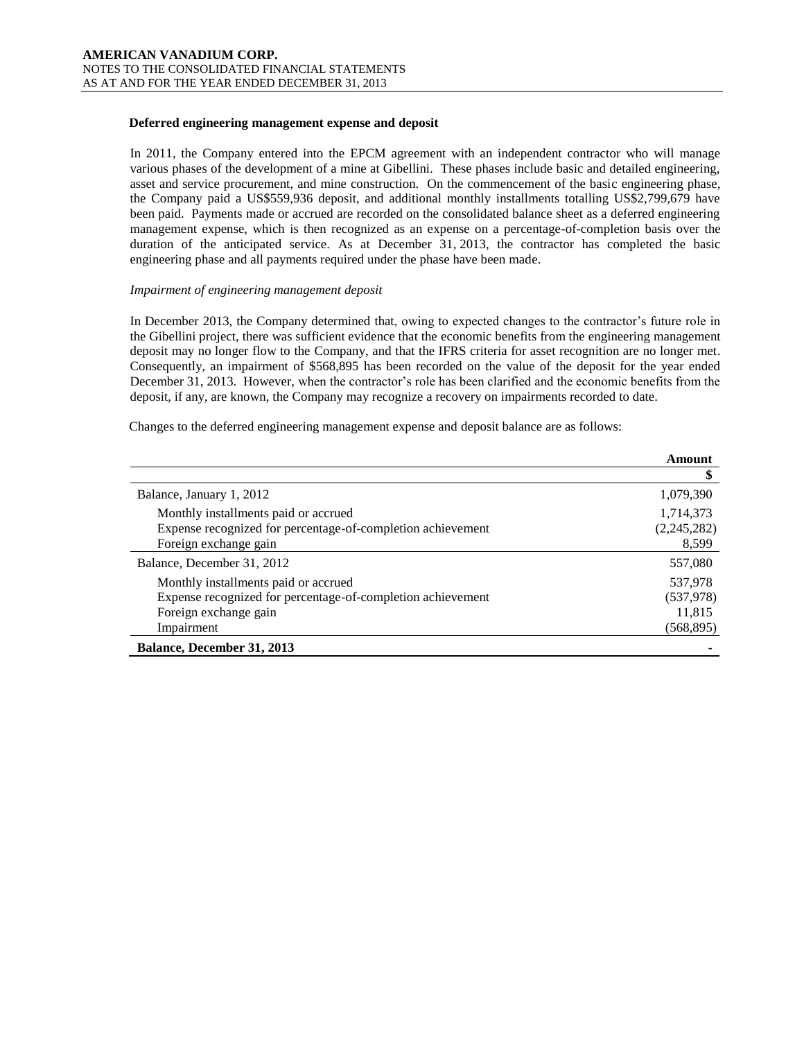#### **Deferred engineering management expense and deposit**

In 2011, the Company entered into the EPCM agreement with an independent contractor who will manage various phases of the development of a mine at Gibellini. These phases include basic and detailed engineering, asset and service procurement, and mine construction. On the commencement of the basic engineering phase, the Company paid a US\$559,936 deposit, and additional monthly installments totalling US\$2,799,679 have been paid. Payments made or accrued are recorded on the consolidated balance sheet as a deferred engineering management expense, which is then recognized as an expense on a percentage-of-completion basis over the duration of the anticipated service. As at December 31, 2013, the contractor has completed the basic engineering phase and all payments required under the phase have been made.

#### *Impairment of engineering management deposit*

In December 2013, the Company determined that, owing to expected changes to the contractor's future role in the Gibellini project, there was sufficient evidence that the economic benefits from the engineering management deposit may no longer flow to the Company, and that the IFRS criteria for asset recognition are no longer met. Consequently, an impairment of \$568,895 has been recorded on the value of the deposit for the year ended December 31, 2013. However, when the contractor's role has been clarified and the economic benefits from the deposit, if any, are known, the Company may recognize a recovery on impairments recorded to date.

Changes to the deferred engineering management expense and deposit balance are as follows:

|                                                             | Amount      |
|-------------------------------------------------------------|-------------|
|                                                             | \$          |
| Balance, January 1, 2012                                    | 1,079,390   |
| Monthly installments paid or accrued                        | 1,714,373   |
| Expense recognized for percentage-of-completion achievement | (2,245,282) |
| Foreign exchange gain                                       | 8,599       |
| Balance, December 31, 2012                                  | 557,080     |
| Monthly installments paid or accrued                        | 537,978     |
| Expense recognized for percentage-of-completion achievement | (537,978)   |
| Foreign exchange gain                                       | 11,815      |
| Impairment                                                  | (568, 895)  |
| <b>Balance, December 31, 2013</b>                           |             |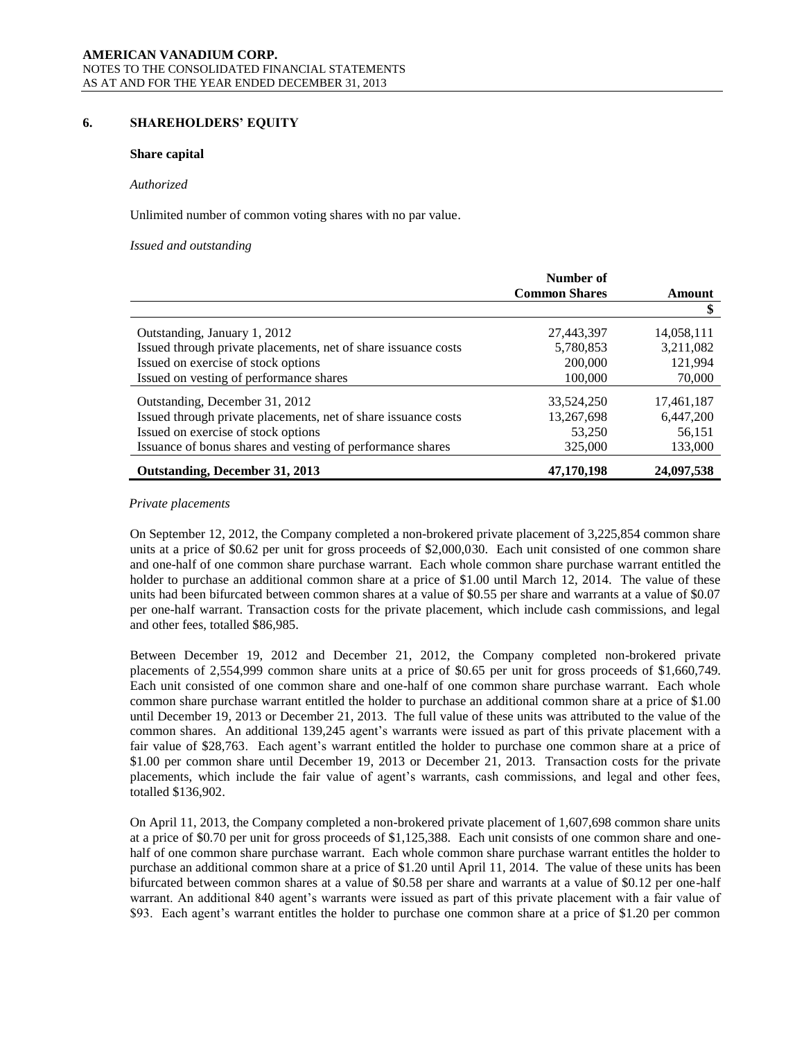# **6. SHAREHOLDERS' EQUITY**

### **Share capital**

#### *Authorized*

Unlimited number of common voting shares with no par value.

#### *Issued and outstanding*

|                                                                | Number of            |            |
|----------------------------------------------------------------|----------------------|------------|
|                                                                | <b>Common Shares</b> | Amount     |
|                                                                |                      |            |
| Outstanding, January 1, 2012                                   | 27,443,397           | 14,058,111 |
| Issued through private placements, net of share issuance costs | 5,780,853            | 3,211,082  |
| Issued on exercise of stock options                            | 200,000              | 121.994    |
| Issued on vesting of performance shares                        | 100,000              | 70,000     |
| Outstanding, December 31, 2012                                 | 33.524.250           | 17.461.187 |
| Issued through private placements, net of share issuance costs | 13,267,698           | 6,447,200  |
| Issued on exercise of stock options                            | 53,250               | 56,151     |
| Issuance of bonus shares and vesting of performance shares     | 325,000              | 133,000    |
| Outstanding, December 31, 2013                                 | 47,170,198           | 24,097,538 |

### *Private placements*

On September 12, 2012, the Company completed a non-brokered private placement of 3,225,854 common share units at a price of \$0.62 per unit for gross proceeds of \$2,000,030. Each unit consisted of one common share and one-half of one common share purchase warrant. Each whole common share purchase warrant entitled the holder to purchase an additional common share at a price of \$1.00 until March 12, 2014. The value of these units had been bifurcated between common shares at a value of \$0.55 per share and warrants at a value of \$0.07 per one-half warrant. Transaction costs for the private placement, which include cash commissions, and legal and other fees, totalled \$86,985.

Between December 19, 2012 and December 21, 2012, the Company completed non-brokered private placements of 2,554,999 common share units at a price of \$0.65 per unit for gross proceeds of \$1,660,749. Each unit consisted of one common share and one-half of one common share purchase warrant. Each whole common share purchase warrant entitled the holder to purchase an additional common share at a price of \$1.00 until December 19, 2013 or December 21, 2013. The full value of these units was attributed to the value of the common shares. An additional 139,245 agent's warrants were issued as part of this private placement with a fair value of \$28,763. Each agent's warrant entitled the holder to purchase one common share at a price of \$1.00 per common share until December 19, 2013 or December 21, 2013. Transaction costs for the private placements, which include the fair value of agent's warrants, cash commissions, and legal and other fees, totalled \$136,902.

On April 11, 2013, the Company completed a non-brokered private placement of 1,607,698 common share units at a price of \$0.70 per unit for gross proceeds of \$1,125,388. Each unit consists of one common share and onehalf of one common share purchase warrant. Each whole common share purchase warrant entitles the holder to purchase an additional common share at a price of \$1.20 until April 11, 2014. The value of these units has been bifurcated between common shares at a value of \$0.58 per share and warrants at a value of \$0.12 per one-half warrant. An additional 840 agent's warrants were issued as part of this private placement with a fair value of \$93. Each agent's warrant entitles the holder to purchase one common share at a price of \$1.20 per common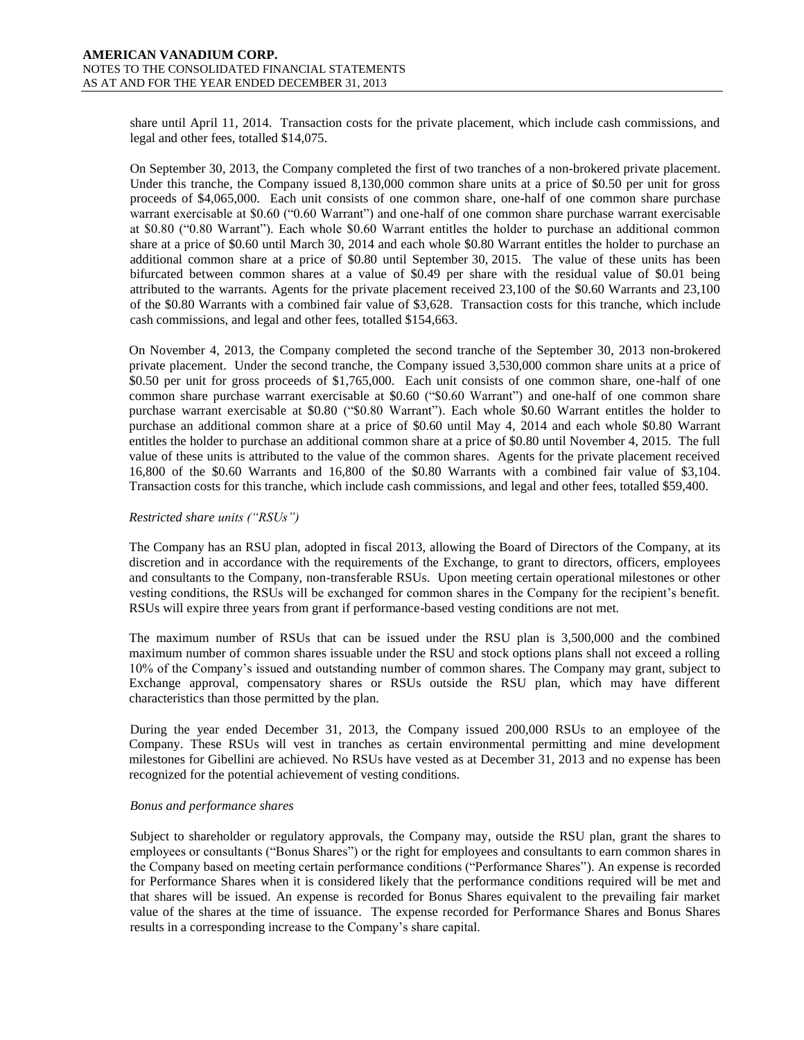share until April 11, 2014. Transaction costs for the private placement, which include cash commissions, and legal and other fees, totalled \$14,075.

On September 30, 2013, the Company completed the first of two tranches of a non-brokered private placement. Under this tranche, the Company issued 8,130,000 common share units at a price of \$0.50 per unit for gross proceeds of \$4,065,000. Each unit consists of one common share, one-half of one common share purchase warrant exercisable at \$0.60 ("0.60 Warrant") and one-half of one common share purchase warrant exercisable at \$0.80 ("0.80 Warrant"). Each whole \$0.60 Warrant entitles the holder to purchase an additional common share at a price of \$0.60 until March 30, 2014 and each whole \$0.80 Warrant entitles the holder to purchase an additional common share at a price of \$0.80 until September 30, 2015. The value of these units has been bifurcated between common shares at a value of \$0.49 per share with the residual value of \$0.01 being attributed to the warrants. Agents for the private placement received 23,100 of the \$0.60 Warrants and 23,100 of the \$0.80 Warrants with a combined fair value of \$3,628. Transaction costs for this tranche, which include cash commissions, and legal and other fees, totalled \$154,663.

On November 4, 2013, the Company completed the second tranche of the September 30, 2013 non-brokered private placement. Under the second tranche, the Company issued 3,530,000 common share units at a price of \$0.50 per unit for gross proceeds of \$1,765,000. Each unit consists of one common share, one-half of one common share purchase warrant exercisable at \$0.60 ("\$0.60 Warrant") and one-half of one common share purchase warrant exercisable at \$0.80 ("\$0.80 Warrant"). Each whole \$0.60 Warrant entitles the holder to purchase an additional common share at a price of \$0.60 until May 4, 2014 and each whole \$0.80 Warrant entitles the holder to purchase an additional common share at a price of \$0.80 until November 4, 2015. The full value of these units is attributed to the value of the common shares. Agents for the private placement received 16,800 of the \$0.60 Warrants and 16,800 of the \$0.80 Warrants with a combined fair value of \$3,104. Transaction costs for this tranche, which include cash commissions, and legal and other fees, totalled \$59,400.

# *Restricted share units ("RSUs")*

The Company has an RSU plan, adopted in fiscal 2013, allowing the Board of Directors of the Company, at its discretion and in accordance with the requirements of the Exchange, to grant to directors, officers, employees and consultants to the Company, non-transferable RSUs. Upon meeting certain operational milestones or other vesting conditions, the RSUs will be exchanged for common shares in the Company for the recipient's benefit. RSUs will expire three years from grant if performance-based vesting conditions are not met.

The maximum number of RSUs that can be issued under the RSU plan is 3,500,000 and the combined maximum number of common shares issuable under the RSU and stock options plans shall not exceed a rolling 10% of the Company's issued and outstanding number of common shares. The Company may grant, subject to Exchange approval, compensatory shares or RSUs outside the RSU plan, which may have different characteristics than those permitted by the plan.

During the year ended December 31, 2013, the Company issued 200,000 RSUs to an employee of the Company. These RSUs will vest in tranches as certain environmental permitting and mine development milestones for Gibellini are achieved. No RSUs have vested as at December 31, 2013 and no expense has been recognized for the potential achievement of vesting conditions.

### *Bonus and performance shares*

Subject to shareholder or regulatory approvals, the Company may, outside the RSU plan, grant the shares to employees or consultants ("Bonus Shares") or the right for employees and consultants to earn common shares in the Company based on meeting certain performance conditions ("Performance Shares"). An expense is recorded for Performance Shares when it is considered likely that the performance conditions required will be met and that shares will be issued. An expense is recorded for Bonus Shares equivalent to the prevailing fair market value of the shares at the time of issuance. The expense recorded for Performance Shares and Bonus Shares results in a corresponding increase to the Company's share capital.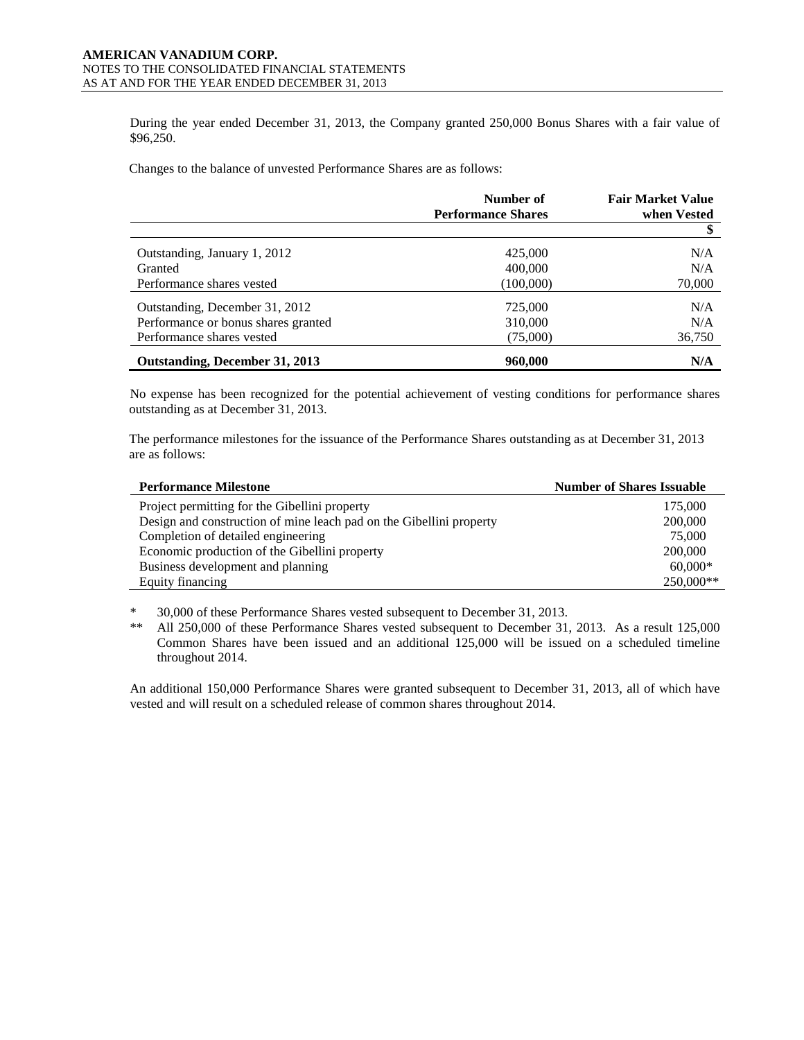During the year ended December 31, 2013, the Company granted 250,000 Bonus Shares with a fair value of \$96,250.

Changes to the balance of unvested Performance Shares are as follows:

|                                     | Number of<br><b>Performance Shares</b> | <b>Fair Market Value</b><br>when Vested |
|-------------------------------------|----------------------------------------|-----------------------------------------|
|                                     |                                        |                                         |
| Outstanding, January 1, 2012        | 425,000                                | N/A                                     |
| Granted                             | 400,000                                | N/A                                     |
| Performance shares vested           | (100,000)                              | 70,000                                  |
| Outstanding, December 31, 2012      | 725,000                                | N/A                                     |
| Performance or bonus shares granted | 310,000                                | N/A                                     |
| Performance shares vested           | (75,000)                               | 36,750                                  |
| Outstanding, December 31, 2013      | 960,000                                | N/A                                     |

No expense has been recognized for the potential achievement of vesting conditions for performance shares outstanding as at December 31, 2013.

The performance milestones for the issuance of the Performance Shares outstanding as at December 31, 2013 are as follows:

| <b>Performance Milestone</b>                                        | <b>Number of Shares Issuable</b> |
|---------------------------------------------------------------------|----------------------------------|
| Project permitting for the Gibellini property                       | 175,000                          |
| Design and construction of mine leach pad on the Gibellini property | 200,000                          |
| Completion of detailed engineering                                  | 75,000                           |
| Economic production of the Gibellini property                       | 200,000                          |
| Business development and planning                                   | $60,000*$                        |
| Equity financing                                                    | 250,000**                        |

\* 30,000 of these Performance Shares vested subsequent to December 31, 2013.

\*\* All 250,000 of these Performance Shares vested subsequent to December 31, 2013. As a result 125,000 Common Shares have been issued and an additional 125,000 will be issued on a scheduled timeline throughout 2014.

An additional 150,000 Performance Shares were granted subsequent to December 31, 2013, all of which have vested and will result on a scheduled release of common shares throughout 2014.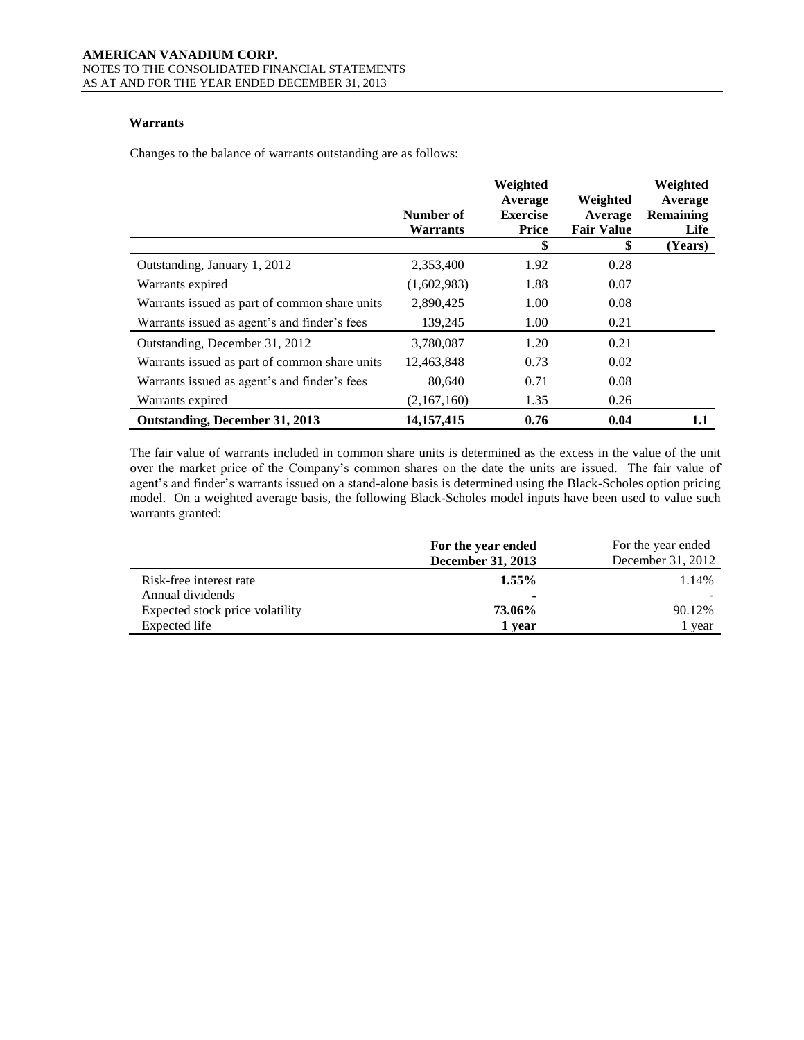# **Warrants**

Changes to the balance of warrants outstanding are as follows:

|                                               | Number of<br>Warrants | Weighted<br>Average<br><b>Exercise</b><br><b>Price</b> | Weighted<br>Average<br><b>Fair Value</b> | Weighted<br>Average<br>Remaining<br>Life |
|-----------------------------------------------|-----------------------|--------------------------------------------------------|------------------------------------------|------------------------------------------|
|                                               |                       | \$                                                     | \$                                       | (Years)                                  |
| Outstanding, January 1, 2012                  | 2,353,400             | 1.92                                                   | 0.28                                     |                                          |
| Warrants expired                              | (1,602,983)           | 1.88                                                   | 0.07                                     |                                          |
| Warrants issued as part of common share units | 2,890,425             | 1.00                                                   | 0.08                                     |                                          |
| Warrants issued as agent's and finder's fees  | 139,245               | 1.00                                                   | 0.21                                     |                                          |
| Outstanding, December 31, 2012                | 3,780,087             | 1.20                                                   | 0.21                                     |                                          |
| Warrants issued as part of common share units | 12,463,848            | 0.73                                                   | 0.02                                     |                                          |
| Warrants issued as agent's and finder's fees  | 80,640                | 0.71                                                   | 0.08                                     |                                          |
| Warrants expired                              | (2,167,160)           | 1.35                                                   | 0.26                                     |                                          |
| Outstanding, December 31, 2013                | 14, 157, 415          | 0.76                                                   | 0.04                                     | $1.1\,$                                  |

The fair value of warrants included in common share units is determined as the excess in the value of the unit over the market price of the Company's common shares on the date the units are issued. The fair value of agent's and finder's warrants issued on a stand-alone basis is determined using the Black-Scholes option pricing model. On a weighted average basis, the following Black-Scholes model inputs have been used to value such warrants granted:

|                                 | For the year ended | For the year ended |
|---------------------------------|--------------------|--------------------|
|                                 | December 31, 2013  | December 31, 2012  |
| Risk-free interest rate         | $1.55\%$           | 1.14%              |
| Annual dividends                | ۰                  |                    |
| Expected stock price volatility | 73.06%             | 90.12%             |
| Expected life                   | 1 vear             | l year             |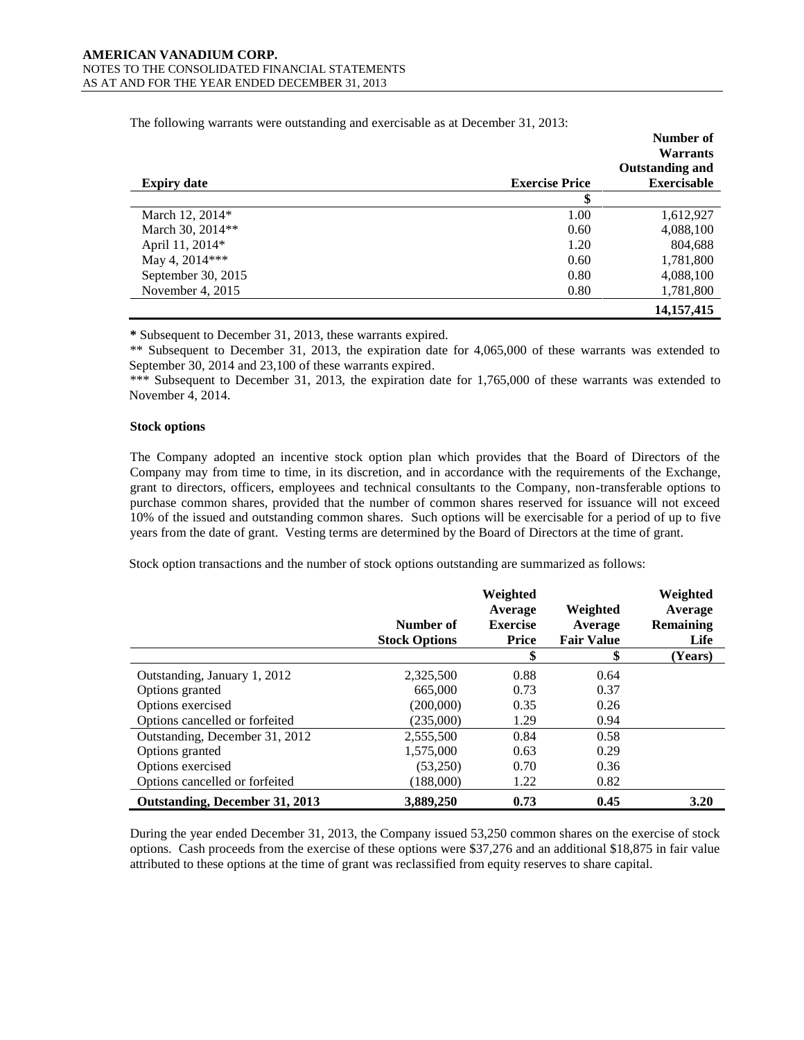|                    |                       | Number of<br><b>Warrants</b> |
|--------------------|-----------------------|------------------------------|
|                    |                       | <b>Outstanding and</b>       |
| <b>Expiry date</b> | <b>Exercise Price</b> | <b>Exercisable</b>           |
|                    | \$                    |                              |
| March 12, 2014*    | 1.00                  | 1,612,927                    |
| March 30, 2014**   | 0.60                  | 4,088,100                    |
| April 11, 2014*    | 1.20                  | 804,688                      |
| May 4, 2014***     | 0.60                  | 1,781,800                    |
| September 30, 2015 | 0.80                  | 4,088,100                    |
| November 4, 2015   | 0.80                  | 1,781,800                    |
|                    |                       | 14, 157, 415                 |

The following warrants were outstanding and exercisable as at December 31, 2013:

**\*** Subsequent to December 31, 2013, these warrants expired.

\*\* Subsequent to December 31, 2013, the expiration date for 4,065,000 of these warrants was extended to September 30, 2014 and 23,100 of these warrants expired.

\*\*\* Subsequent to December 31, 2013, the expiration date for 1,765,000 of these warrants was extended to November 4, 2014.

### **Stock options**

The Company adopted an incentive stock option plan which provides that the Board of Directors of the Company may from time to time, in its discretion, and in accordance with the requirements of the Exchange, grant to directors, officers, employees and technical consultants to the Company, non-transferable options to purchase common shares, provided that the number of common shares reserved for issuance will not exceed 10% of the issued and outstanding common shares. Such options will be exercisable for a period of up to five years from the date of grant. Vesting terms are determined by the Board of Directors at the time of grant.

Stock option transactions and the number of stock options outstanding are summarized as follows:

|                                | Number of            | Weighted<br>Average<br><b>Exercise</b> | Weighted<br>Average | Weighted<br>Average<br><b>Remaining</b> |
|--------------------------------|----------------------|----------------------------------------|---------------------|-----------------------------------------|
|                                | <b>Stock Options</b> | Price                                  | <b>Fair Value</b>   | Life                                    |
|                                |                      | \$                                     | J                   | (Years)                                 |
| Outstanding, January 1, 2012   | 2,325,500            | 0.88                                   | 0.64                |                                         |
| Options granted                | 665,000              | 0.73                                   | 0.37                |                                         |
| Options exercised              | (200,000)            | 0.35                                   | 0.26                |                                         |
| Options cancelled or forfeited | (235,000)            | 1.29                                   | 0.94                |                                         |
| Outstanding, December 31, 2012 | 2,555,500            | 0.84                                   | 0.58                |                                         |
| Options granted                | 1,575,000            | 0.63                                   | 0.29                |                                         |
| Options exercised              | (53,250)             | 0.70                                   | 0.36                |                                         |
| Options cancelled or forfeited | (188,000)            | 1.22                                   | 0.82                |                                         |
| Outstanding, December 31, 2013 | 3.889.250            | 0.73                                   | 0.45                | 3.20                                    |

During the year ended December 31, 2013, the Company issued 53,250 common shares on the exercise of stock options. Cash proceeds from the exercise of these options were \$37,276 and an additional \$18,875 in fair value attributed to these options at the time of grant was reclassified from equity reserves to share capital.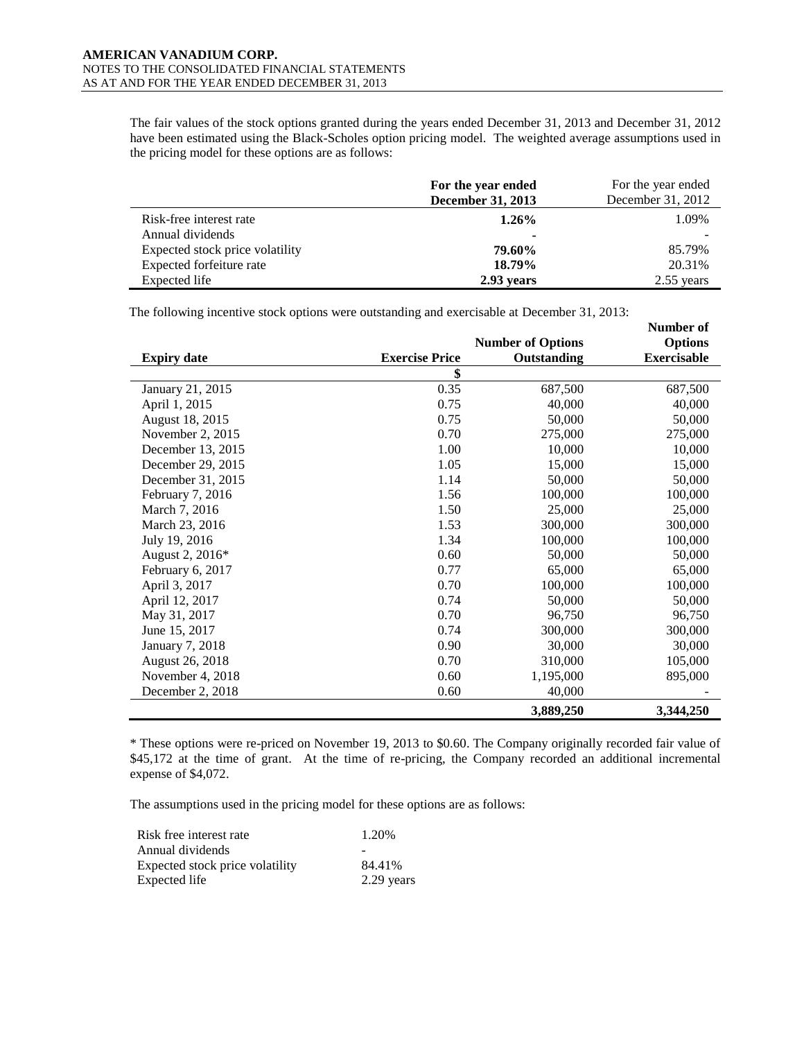The fair values of the stock options granted during the years ended December 31, 2013 and December 31, 2012 have been estimated using the Black-Scholes option pricing model. The weighted average assumptions used in the pricing model for these options are as follows:

|                                 | For the year ended<br><b>December 31, 2013</b> | For the year ended<br>December 31, 2012 |
|---------------------------------|------------------------------------------------|-----------------------------------------|
| Risk-free interest rate         | $1.26\%$                                       | 1.09%                                   |
| Annual dividends                |                                                |                                         |
| Expected stock price volatility | 79.60%                                         | 85.79%                                  |
| Expected forfeiture rate        | 18.79%                                         | 20.31%                                  |
| Expected life                   | 2.93 years                                     | $2.55$ years                            |

The following incentive stock options were outstanding and exercisable at December 31, 2013:

|                        |                       |                          | <b>Number of</b>   |
|------------------------|-----------------------|--------------------------|--------------------|
|                        |                       | <b>Number of Options</b> | <b>Options</b>     |
| <b>Expiry date</b>     | <b>Exercise Price</b> | Outstanding              | <b>Exercisable</b> |
|                        | \$                    |                          |                    |
| January 21, 2015       | 0.35                  | 687,500                  | 687,500            |
| April 1, 2015          | 0.75                  | 40,000                   | 40,000             |
| August 18, 2015        | 0.75                  | 50,000                   | 50,000             |
| November 2, 2015       | 0.70                  | 275,000                  | 275,000            |
| December 13, 2015      | 1.00                  | 10,000                   | 10,000             |
| December 29, 2015      | 1.05                  | 15,000                   | 15,000             |
| December 31, 2015      | 1.14                  | 50,000                   | 50,000             |
| February 7, 2016       | 1.56                  | 100,000                  | 100,000            |
| March 7, 2016          | 1.50                  | 25,000                   | 25,000             |
| March 23, 2016         | 1.53                  | 300,000                  | 300,000            |
| July 19, 2016          | 1.34                  | 100,000                  | 100,000            |
| August 2, 2016*        | 0.60                  | 50,000                   | 50,000             |
| February 6, 2017       | 0.77                  | 65,000                   | 65,000             |
| April 3, 2017          | 0.70                  | 100,000                  | 100,000            |
| April 12, 2017         | 0.74                  | 50,000                   | 50,000             |
| May 31, 2017           | 0.70                  | 96,750                   | 96,750             |
| June 15, 2017          | 0.74                  | 300,000                  | 300,000            |
| <b>January 7, 2018</b> | 0.90                  | 30,000                   | 30,000             |
| August 26, 2018        | 0.70                  | 310,000                  | 105,000            |
| November 4, 2018       | 0.60                  | 1,195,000                | 895,000            |
| December 2, 2018       | 0.60                  | 40,000                   |                    |
|                        |                       | 3,889,250                | 3,344,250          |

\* These options were re-priced on November 19, 2013 to \$0.60. The Company originally recorded fair value of \$45,172 at the time of grant. At the time of re-pricing, the Company recorded an additional incremental expense of \$4,072.

The assumptions used in the pricing model for these options are as follows:

| Risk free interest rate         | 1.20%      |
|---------------------------------|------------|
| Annual dividends                |            |
| Expected stock price volatility | 84.41%     |
| Expected life                   | 2.29 years |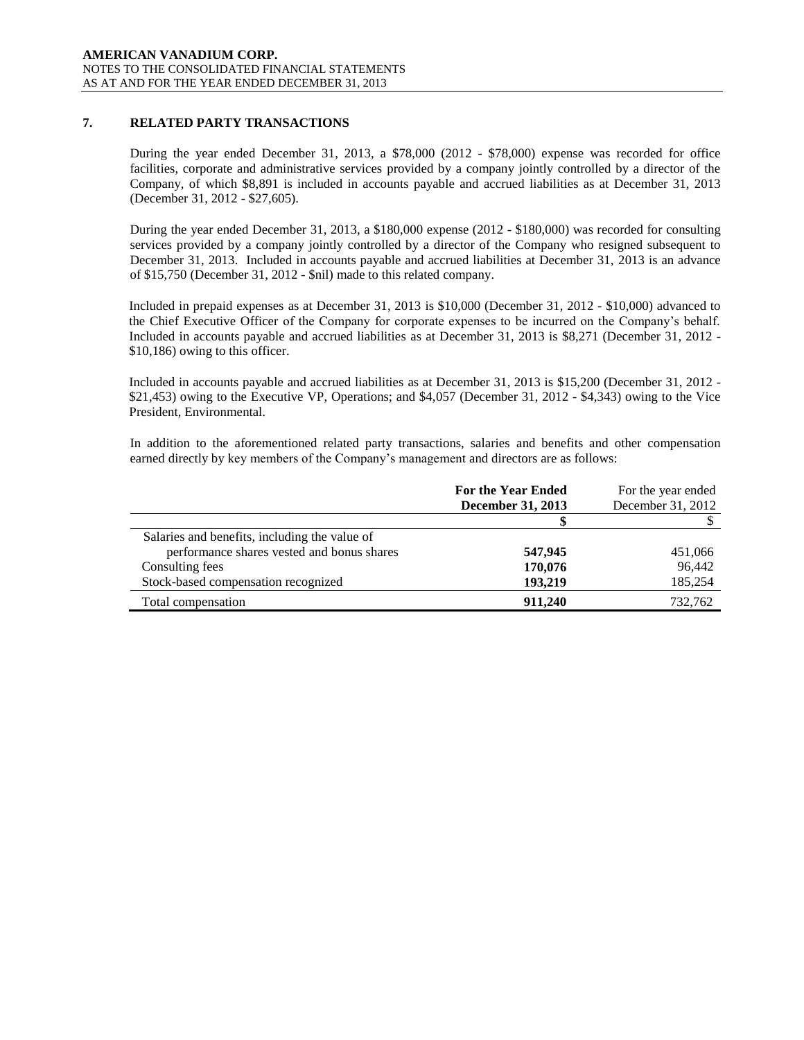# **7. RELATED PARTY TRANSACTIONS**

During the year ended December 31, 2013, a \$78,000 (2012 - \$78,000) expense was recorded for office facilities, corporate and administrative services provided by a company jointly controlled by a director of the Company, of which \$8,891 is included in accounts payable and accrued liabilities as at December 31, 2013 (December 31, 2012 - \$27,605).

During the year ended December 31, 2013, a \$180,000 expense (2012 - \$180,000) was recorded for consulting services provided by a company jointly controlled by a director of the Company who resigned subsequent to December 31, 2013. Included in accounts payable and accrued liabilities at December 31, 2013 is an advance of \$15,750 (December 31, 2012 - \$nil) made to this related company.

Included in prepaid expenses as at December 31, 2013 is \$10,000 (December 31, 2012 - \$10,000) advanced to the Chief Executive Officer of the Company for corporate expenses to be incurred on the Company's behalf. Included in accounts payable and accrued liabilities as at December 31, 2013 is \$8,271 (December 31, 2012 - \$10,186) owing to this officer.

Included in accounts payable and accrued liabilities as at December 31, 2013 is \$15,200 (December 31, 2012 - \$21,453) owing to the Executive VP, Operations; and \$4,057 (December 31, 2012 - \$4,343) owing to the Vice President, Environmental.

In addition to the aforementioned related party transactions, salaries and benefits and other compensation earned directly by key members of the Company's management and directors are as follows:

|                                               | <b>For the Year Ended</b><br>December 31, 2013 | For the year ended<br>December 31, 2012 |
|-----------------------------------------------|------------------------------------------------|-----------------------------------------|
|                                               |                                                |                                         |
| Salaries and benefits, including the value of |                                                |                                         |
| performance shares vested and bonus shares    | 547,945                                        | 451,066                                 |
| Consulting fees                               | 170,076                                        | 96,442                                  |
| Stock-based compensation recognized           | 193,219                                        | 185,254                                 |
| Total compensation                            | 911.240                                        | 732,762                                 |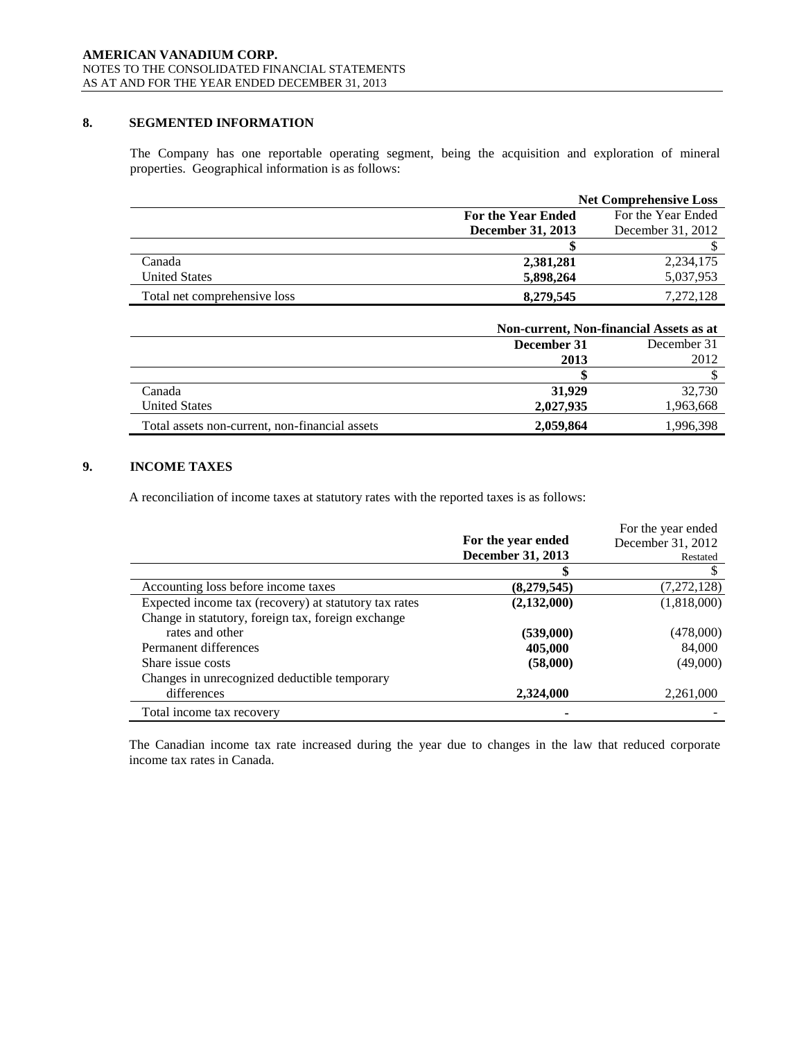# **8. SEGMENTED INFORMATION**

The Company has one reportable operating segment, being the acquisition and exploration of mineral properties. Geographical information is as follows:

|                              |                          | <b>Net Comprehensive Loss</b> |
|------------------------------|--------------------------|-------------------------------|
|                              | For the Year Ended       | For the Year Ended            |
|                              | <b>December 31, 2013</b> | December 31, 2012             |
|                              |                          |                               |
| Canada                       | 2,381,281                | 2, 234, 175                   |
| <b>United States</b>         | 5,898,264                | 5,037,953                     |
| Total net comprehensive loss | 8,279,545                | 7.272.128                     |

|                                                | Non-current, Non-financial Assets as at |           |
|------------------------------------------------|-----------------------------------------|-----------|
|                                                | December 31<br>December 31              |           |
|                                                | 2013                                    | 2012      |
|                                                |                                         |           |
| Canada                                         | 31,929                                  | 32,730    |
| <b>United States</b>                           | 2,027,935                               | 1,963,668 |
| Total assets non-current, non-financial assets | 2.059.864                               | 1,996,398 |

# **9. INCOME TAXES**

A reconciliation of income taxes at statutory rates with the reported taxes is as follows:

|                                                       |                    | For the year ended |
|-------------------------------------------------------|--------------------|--------------------|
|                                                       | For the year ended | December 31, 2012  |
|                                                       | December 31, 2013  | Restated           |
|                                                       |                    |                    |
| Accounting loss before income taxes                   | (8,279,545)        | (7, 272, 128)      |
| Expected income tax (recovery) at statutory tax rates | (2,132,000)        | (1,818,000)        |
| Change in statutory, foreign tax, foreign exchange    |                    |                    |
| rates and other                                       | (539,000)          | (478,000)          |
| Permanent differences                                 | 405,000            | 84,000             |
| Share issue costs                                     | (58,000)           | (49,000)           |
| Changes in unrecognized deductible temporary          |                    |                    |
| differences                                           | 2,324,000          | 2,261,000          |
| Total income tax recovery                             |                    |                    |

The Canadian income tax rate increased during the year due to changes in the law that reduced corporate income tax rates in Canada.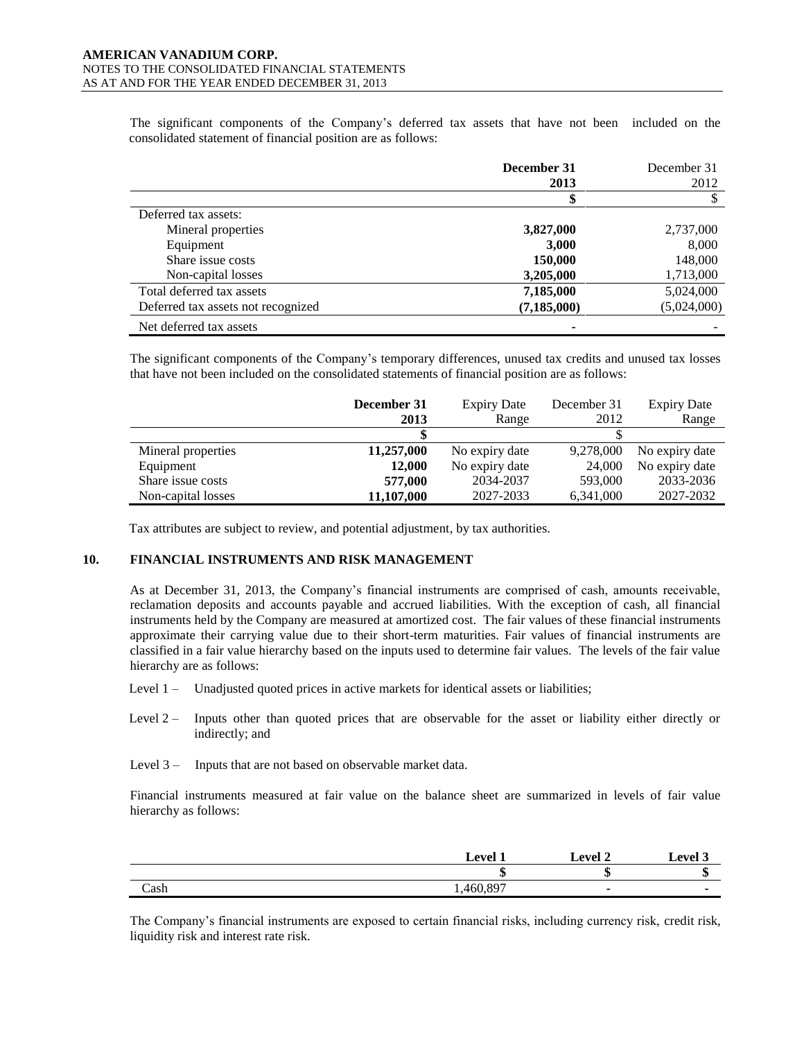The significant components of the Company's deferred tax assets that have not been included on the consolidated statement of financial position are as follows:

|                                    | December 31   | December 31 |
|------------------------------------|---------------|-------------|
|                                    | 2013          | 2012        |
|                                    |               |             |
| Deferred tax assets:               |               |             |
| Mineral properties                 | 3,827,000     | 2,737,000   |
| Equipment                          | 3,000         | 8,000       |
| Share issue costs                  | 150,000       | 148,000     |
| Non-capital losses                 | 3,205,000     | 1,713,000   |
| Total deferred tax assets          | 7,185,000     | 5,024,000   |
| Deferred tax assets not recognized | (7, 185, 000) | (5,024,000) |
| Net deferred tax assets            |               |             |

The significant components of the Company's temporary differences, unused tax credits and unused tax losses that have not been included on the consolidated statements of financial position are as follows:

|                    | December 31 | <b>Expiry Date</b> | December 31 | <b>Expiry Date</b> |
|--------------------|-------------|--------------------|-------------|--------------------|
|                    | 2013        | Range              | 2012        | Range              |
|                    |             |                    |             |                    |
| Mineral properties | 11,257,000  | No expiry date     | 9,278,000   | No expiry date     |
| Equipment          | 12,000      | No expiry date     | 24,000      | No expiry date     |
| Share issue costs  | 577,000     | 2034-2037          | 593,000     | 2033-2036          |
| Non-capital losses | 11,107,000  | 2027-2033          | 6,341,000   | 2027-2032          |

Tax attributes are subject to review, and potential adjustment, by tax authorities.

# **10. FINANCIAL INSTRUMENTS AND RISK MANAGEMENT**

As at December 31, 2013, the Company's financial instruments are comprised of cash, amounts receivable, reclamation deposits and accounts payable and accrued liabilities. With the exception of cash, all financial instruments held by the Company are measured at amortized cost. The fair values of these financial instruments approximate their carrying value due to their short-term maturities. Fair values of financial instruments are classified in a fair value hierarchy based on the inputs used to determine fair values. The levels of the fair value hierarchy are as follows:

- Level 1 Unadjusted quoted prices in active markets for identical assets or liabilities;
- Level 2 Inputs other than quoted prices that are observable for the asset or liability either directly or indirectly; and
- Level 3 Inputs that are not based on observable market data.

Financial instruments measured at fair value on the balance sheet are summarized in levels of fair value hierarchy as follows:

|      | . evel *    | evel 2 | Level 3 |
|------|-------------|--------|---------|
|      |             |        |         |
| Cash | .007<br>160 |        |         |

The Company's financial instruments are exposed to certain financial risks, including currency risk, credit risk, liquidity risk and interest rate risk.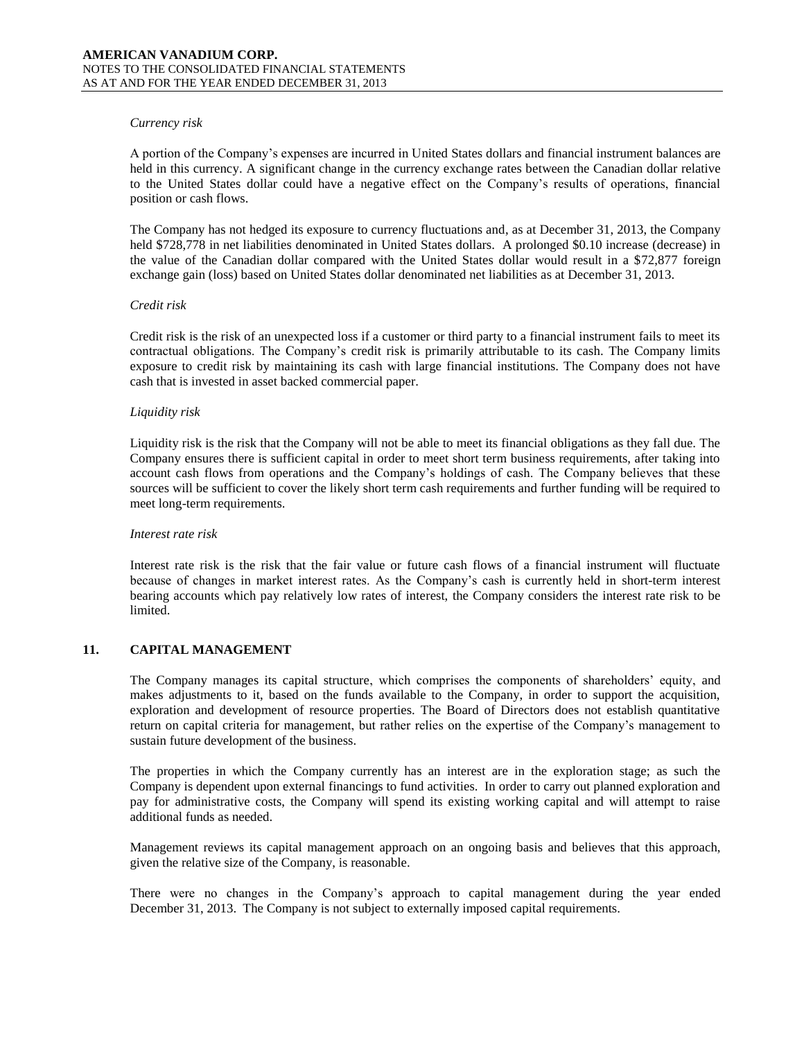### *Currency risk*

A portion of the Company's expenses are incurred in United States dollars and financial instrument balances are held in this currency. A significant change in the currency exchange rates between the Canadian dollar relative to the United States dollar could have a negative effect on the Company's results of operations, financial position or cash flows.

The Company has not hedged its exposure to currency fluctuations and, as at December 31, 2013, the Company held \$728,778 in net liabilities denominated in United States dollars. A prolonged \$0.10 increase (decrease) in the value of the Canadian dollar compared with the United States dollar would result in a \$72,877 foreign exchange gain (loss) based on United States dollar denominated net liabilities as at December 31, 2013.

# *Credit risk*

Credit risk is the risk of an unexpected loss if a customer or third party to a financial instrument fails to meet its contractual obligations. The Company's credit risk is primarily attributable to its cash. The Company limits exposure to credit risk by maintaining its cash with large financial institutions. The Company does not have cash that is invested in asset backed commercial paper.

# *Liquidity risk*

Liquidity risk is the risk that the Company will not be able to meet its financial obligations as they fall due. The Company ensures there is sufficient capital in order to meet short term business requirements, after taking into account cash flows from operations and the Company's holdings of cash. The Company believes that these sources will be sufficient to cover the likely short term cash requirements and further funding will be required to meet long-term requirements.

# *Interest rate risk*

Interest rate risk is the risk that the fair value or future cash flows of a financial instrument will fluctuate because of changes in market interest rates. As the Company's cash is currently held in short-term interest bearing accounts which pay relatively low rates of interest, the Company considers the interest rate risk to be limited.

# **11. CAPITAL MANAGEMENT**

The Company manages its capital structure, which comprises the components of shareholders' equity, and makes adjustments to it, based on the funds available to the Company, in order to support the acquisition, exploration and development of resource properties. The Board of Directors does not establish quantitative return on capital criteria for management, but rather relies on the expertise of the Company's management to sustain future development of the business.

The properties in which the Company currently has an interest are in the exploration stage; as such the Company is dependent upon external financings to fund activities. In order to carry out planned exploration and pay for administrative costs, the Company will spend its existing working capital and will attempt to raise additional funds as needed.

Management reviews its capital management approach on an ongoing basis and believes that this approach, given the relative size of the Company, is reasonable.

There were no changes in the Company's approach to capital management during the year ended December 31, 2013. The Company is not subject to externally imposed capital requirements.